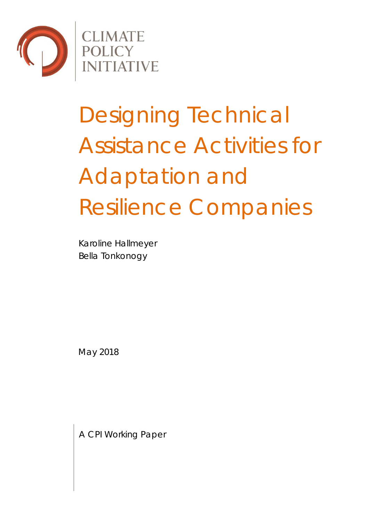

**CLIMATE<br>POLICY<br>INITIATIVE** 

# Designing Technical Assistance Activities for Adaptation and Resilience Companies

Karoline Hallmeyer Bella Tonkonogy

May 2018

A CPI Working Paper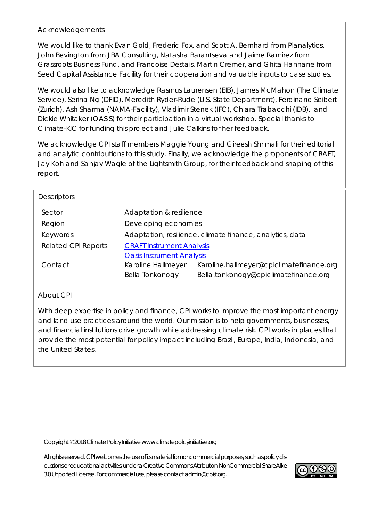### Acknowledgements

We would like to thank Evan Gold, Frederic Fox, and Scott A. Bernhard from Planalytics, John Bevington from JBA Consulting, Natasha Barantseva and Jaime Ramirez from Grassroots Business Fund, and Francoise Destais, Martin Cremer, and Ghita Hannane from Seed Capital Assistance Facility for their cooperation and valuable inputs to case studies.

We would also like to acknowledge Rasmus Laurensen (EIB), James McMahon (The Climate Service), Serina Ng (DFID), Meredith Ryder-Rude (U.S. State Department), Ferdinand Seibert (Zurich), Ash Sharma (NAMA-Facility), Vladimir Stenek (IFC), Chiara Trabacchi (IDB), and Dickie Whitaker (OASIS) for their participation in a virtual workshop. Special thanks to Climate-KIC for funding this project and Julie Calkins for her feedback.

We acknowledge CPI staff members Maggie Young and Gireesh Shrimali for their editorial and analytic contributions to this study. Finally, we acknowledge the proponents of CRAFT, Jay Koh and Sanjay Wagle of the Lightsmith Group, for their feedback and shaping of this report.

| <b>Descriptors</b>         |                                                          |                                          |  |
|----------------------------|----------------------------------------------------------|------------------------------------------|--|
| Sector                     | Adaptation & resilience                                  |                                          |  |
| Region                     | Developing economies                                     |                                          |  |
| Keywords                   | Adaptation, resilience, climate finance, analytics, data |                                          |  |
| <b>Related CPI Reports</b> | <b>CRAFT Instrument Analysis</b>                         |                                          |  |
|                            | <b>Oasis Instrument Analysis</b>                         |                                          |  |
| Contact                    | Karoline Hallmeyer                                       | Karoline.hallmeyer@cpiclimatefinance.org |  |
|                            | Bella Tonkonogy                                          | Bella.tonkonogy@cpiclimatefinance.org    |  |
|                            |                                                          |                                          |  |

### About CPI

With deep expertise in policy and finance, CPI works to improve the most important energy and land use practices around the world. Our mission is to help governments, businesses, and financial institutions drive growth while addressing climate risk. CPI works in places that provide the most potential for policy impact including Brazil, Europe, India, Indonesia, and the United States.

Copyright © 2018 Climate Policy Initiative www.climatepolicyinitiative.org

All rights reserved. CPI welcomes the use of its material for noncommercial purposes, such as policy discussions or educational activities, under a Creative Commons Attribution-NonCommercial-ShareAlike 3.0 Unported License. For commercial use, please contact admin@cpisf.org.

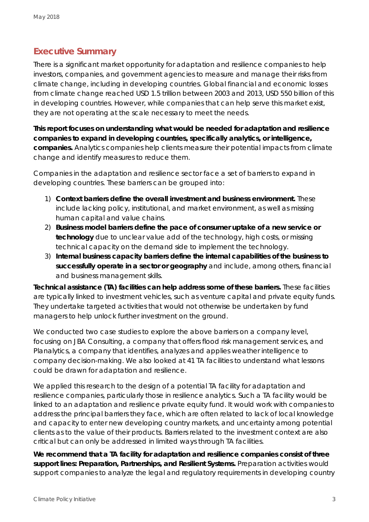### **Executive Summary**

There is a significant market opportunity for adaptation and resilience companies to help investors, companies, and government agencies to measure and manage their risks from climate change, including in developing countries. Global financial and economic losses from climate change reached USD 1.5 trillion between 2003 and 2013, USD 550 billion of this in developing countries. However, while companies that can help serve this market exist, they are not operating at the scale necessary to meet the needs.

**This report focuses on understanding what would be needed for adaptation and resilience companies to expand in developing countries, specifically analytics, or intelligence, companies.** Analytics companies help clients measure their potential impacts from climate change and identify measures to reduce them.

Companies in the adaptation and resilience sector face a set of barriers to expand in developing countries. These barriers can be grouped into:

- 1) **Context barriers define the overall investment and business environment.** These include lacking policy, institutional, and market environment, as well as missing human capital and value chains.
- 2) **Business model barriers define the pace of consumer uptake of a new service or technology** due to unclear value add of the technology, high costs, or missing technical capacity on the demand side to implement the technology.
- 3) **Internal business capacity barriers define the internal capabilities of the business to successfully operate in a sector or geography** and include, among others, financial and business management skills.

**Technical assistance (TA) facilities can help address some of these barriers.** These facilities are typically linked to investment vehicles, such as venture capital and private equity funds. They undertake targeted activities that would not otherwise be undertaken by fund managers to help unlock further investment on the ground.

We conducted two case studies to explore the above barriers on a company level, focusing on JBA Consulting, a company that offers flood risk management services, and Planalytics, a company that identifies, analyzes and applies weather intelligence to company decision-making. We also looked at 41 TA facilities to understand what lessons could be drawn for adaptation and resilience.

We applied this research to the design of a potential TA facility for adaptation and resilience companies, particularly those in resilience analytics. Such a TA facility would be linked to an adaptation and resilience private equity fund. It would work with companies to address the principal barriers they face, which are often related to lack of local knowledge and capacity to enter new developing country markets, and uncertainty among potential clients as to the value of their products. Barriers related to the investment context are also critical but can only be addressed in limited ways through TA facilities.

**We recommend that a TA facility for adaptation and resilience companies consist of three support lines: Preparation, Partnerships, and Resilient Systems.** Preparation activities would support companies to analyze the legal and regulatory requirements in developing country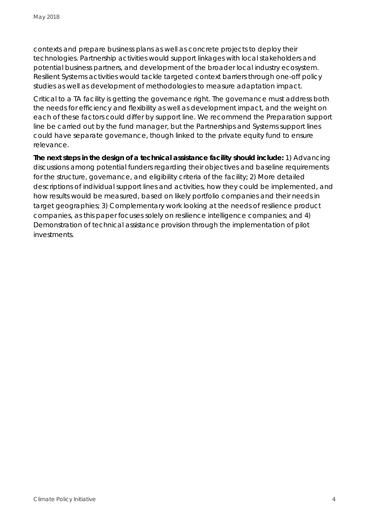contexts and prepare business plans as well as concrete projects to deploy their technologies. Partnership activities would support linkages with local stakeholders and potential business partners, and development of the broader local industry ecosystem. Resilient Systems activities would tackle targeted context barriers through one-off policy studies as well as development of methodologies to measure adaptation impact.

Critical to a TA facility is getting the governance right. The governance must address both the needs for efficiency and flexibility as well as development impact, and the weight on each of these factors could differ by support line. We recommend the Preparation support line be carried out by the fund manager, but the Partnerships and Systems support lines could have separate governance, though linked to the private equity fund to ensure relevance.

**The next steps in the design of a technical assistance facility should include:** 1) Advancing discussions among potential funders regarding their objectives and baseline requirements for the structure, governance, and eligibility criteria of the facility; 2) More detailed descriptions of individual support lines and activities, how they could be implemented, and how results would be measured, based on likely portfolio companies and their needs in target geographies; 3) Complementary work looking at the needs of resilience *product*  companies, as this paper focuses solely on resilience intelligence companies; and 4) Demonstration of technical assistance provision through the implementation of pilot investments.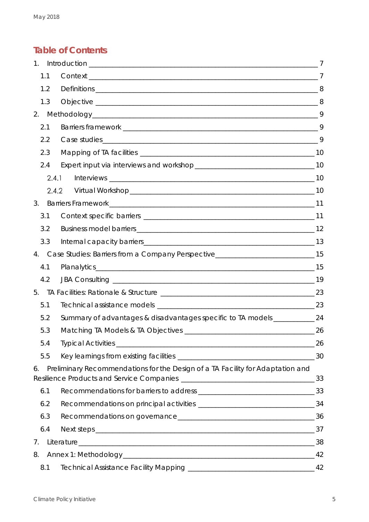### **Table of Contents**

| $1_{\cdot}$ |       |                                                                                                                |    |
|-------------|-------|----------------------------------------------------------------------------------------------------------------|----|
|             | 1.1   |                                                                                                                |    |
|             | 1.2   |                                                                                                                |    |
|             | 1.3   |                                                                                                                |    |
| 2.          |       |                                                                                                                |    |
|             | 2.1   |                                                                                                                |    |
|             | 2.2   |                                                                                                                |    |
|             | 2.3   |                                                                                                                |    |
|             | 2.4   |                                                                                                                |    |
|             | 2.4.1 |                                                                                                                |    |
|             | 2.4.2 |                                                                                                                |    |
| 3.          |       |                                                                                                                |    |
|             | 3.1   |                                                                                                                |    |
|             | 3.2   |                                                                                                                |    |
|             | 3.3   |                                                                                                                |    |
| 4.          |       | Case Studies: Barriers from a Company Perspective______________________________15                              |    |
|             | 4.1   |                                                                                                                |    |
|             | 4.2   |                                                                                                                |    |
| 5.          |       |                                                                                                                |    |
|             | 5.1   |                                                                                                                |    |
|             | 5.2   | Summary of advantages & disadvantages specific to TA models ____________ 24                                    |    |
|             | 5.3   |                                                                                                                |    |
|             | 5.4   |                                                                                                                | 26 |
|             | 5.5   |                                                                                                                |    |
| 6.          |       | Preliminary Recommendations for the Design of a TA Facility for Adaptation and                                 |    |
|             | 6.1   |                                                                                                                |    |
|             | 6.2   |                                                                                                                |    |
|             | 6.3   |                                                                                                                |    |
|             | 6.4   |                                                                                                                |    |
| 7.          |       |                                                                                                                | 38 |
| 8.          |       |                                                                                                                |    |
|             | 8.1   | Technical Assistance Facility Mapping [19] [2010] [2010] [2010] [42] [42] [30] [42] [42] [42] [42] [42] [42] [ |    |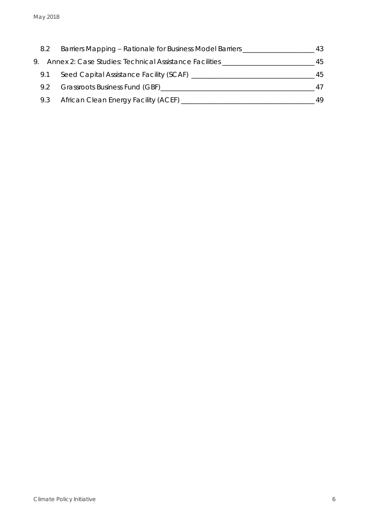| 8.2 | Barriers Mapping - Rationale for Business Model Barriers ______ | 43 |
|-----|-----------------------------------------------------------------|----|
|     | 9. Annex 2: Case Studies: Technical Assistance Facilities       | 45 |
| 9.1 | Seed Capital Assistance Facility (SCAF) _______                 | 45 |
| 9.2 | Grassroots Business Fund (GBF)_____                             | 47 |
| 9.3 | African Clean Energy Facility (ACEF) _                          | 49 |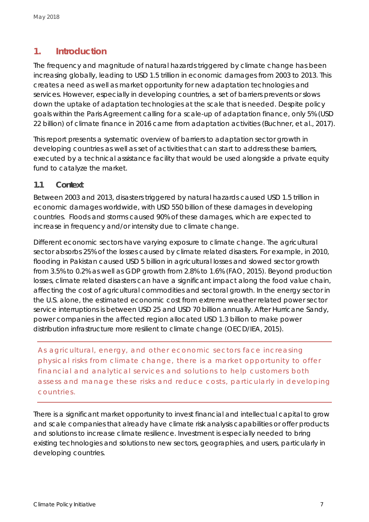### <span id="page-6-0"></span>**1. Introduction**

The frequency and magnitude of natural hazards triggered by climate change has been increasing globally, leading to USD 1.5 trillion in economic damages from 2003 to 2013. This creates a need as well as market opportunity for new adaptation technologies and services. However, especially in developing countries, a set of barriers prevents or slows down the uptake of adaptation technologies at the scale that is needed. Despite policy goals within the Paris Agreement calling for a scale-up of adaptation finance, only 5% (USD 22 billion) of climate finance in 2016 came from adaptation activities (Buchner, et al., 2017).

This report presents a systematic overview of barriers to adaptation sector growth in developing countries as well as set of activities that can start to address these barriers, executed by a technical assistance facility that would be used alongside a private equity fund to catalyze the market.

### <span id="page-6-1"></span>**1.1 Context**

Between 2003 and 2013, disasters triggered by natural hazards caused USD 1.5 trillion in economic damages worldwide, with USD 550 billion of these damages in developing countries. Floods and storms caused 90% of these damages, which are expected to increase in frequency and/or intensity due to climate change.

Different economic sectors have varying exposure to climate change. The agricultural sector absorbs 25% of the losses caused by climate related disasters. For example, in 2010, flooding in Pakistan caused USD 5 billion in agricultural losses and slowed sector growth from 3.5% to 0.2% as well as GDP growth from 2.8% to 1.6% (FAO, 2015). Beyond production losses, climate related disasters can have a significant impact along the food value chain, affecting the cost of agricultural commodities and sectoral growth. In the energy sector in the U.S. alone, the estimated economic cost from extreme weather related power sector service interruptions is between USD 25 and USD 70 billion annually. After Hurricane Sandy, power companies in the affected region allocated USD 1.3 billion to make power distribution infrastructure more resilient to climate change (OECD/IEA, 2015).

*As agricultural, energy, and other economic sectors face increasing physical risks from climate change, there is a market opportunity to offer financial and analytical services and solutions to help customers both*  assess and manage these risks and reduce costs, particularly in developing *countries.*

There is a significant market opportunity to invest financial and intellectual capital to grow and scale companies that already have climate risk analysis capabilities or offer products and solutions to increase climate resilience. Investment is especially needed to bring existing technologies and solutions to new sectors, geographies, and users, particularly in developing countries.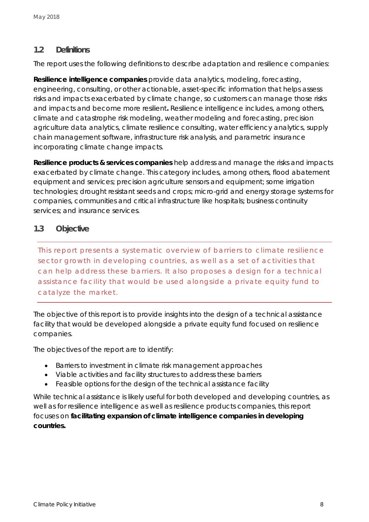### <span id="page-7-0"></span>**1.2 Definitions**

The report uses the following definitions to describe adaptation and resilience companies:

**Resilience intelligence companies** provide data analytics, modeling, forecasting, engineering, consulting, or other actionable, asset-specific information that helps *assess* risks and impacts exacerbated by climate change, so customers can manage those risks and impacts and become more resilient**.** Resilience intelligence includes, among others*,* climate and catastrophe risk modeling, weather modeling and forecasting, precision agriculture data analytics, climate resilience consulting, water efficiency analytics, supply chain management software, infrastructure risk analysis, and parametric insurance incorporating climate change impacts.

**Resilience products & services companies** help *address and manage* the risks and impacts exacerbated by climate change. This category includes, among others*,* flood abatement equipment and services; precision agriculture sensors and equipment; some irrigation technologies; drought resistant seeds and crops; micro-grid and energy storage systems for companies, communities and critical infrastructure like hospitals; business continuity services; and insurance services.

### <span id="page-7-1"></span>**1.3 Objective**

*This report presents a systematic overview of barriers to climate resilience sector growth in developing countries, as well as a set of activities that can help address these barriers. It also proposes a design for a technical assistance facility that would be used alongside a private equity fund to catalyze the market.* 

The objective of this report is to provide insights into the design of a technical assistance facility that would be developed alongside a private equity fund focused on resilience companies.

The objectives of the report are to identify:

- Barriers to investment in climate risk management approaches
- Viable activities and facility structures to address these barriers
- Feasible options for the design of the technical assistance facility

While technical assistance is likely useful for both developed and developing countries, as well as for resilience intelligence as well as resilience products companies, this report focuses on **facilitating expansion of climate intelligence companies in developing countries.**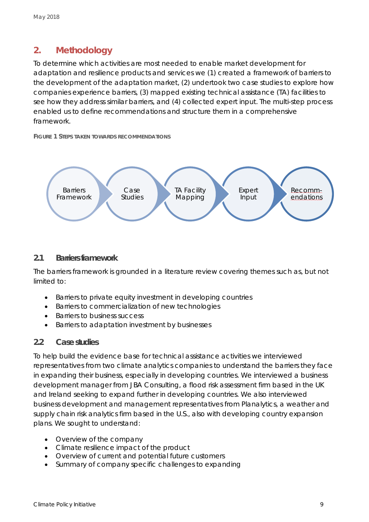### <span id="page-8-0"></span>**2. Methodology**

To determine which activities are most needed to enable market development for adaptation and resilience products and services we (1) created a framework of barriers to the development of the adaptation market, (2) undertook two case studies to explore how companies experience barriers, (3) mapped existing technical assistance (TA) facilities to see how they address similar barriers, and (4) collected expert input. The multi-step process enabled us to define recommendations and structure them in a comprehensive framework.

**FIGURE 1 STEPS TAKEN TOWARDS RECOMMENDATIONS**



### <span id="page-8-1"></span>**2.1 Barriers framework**

The barriers framework is grounded in a literature review covering themes such as, but not limited to:

- Barriers to private equity investment in developing countries
- Barriers to commercialization of new technologies
- Barriers to business success
- Barriers to adaptation investment by businesses

### <span id="page-8-2"></span>**2.2 Case studies**

To help build the evidence base for technical assistance activities we interviewed representatives from two climate analytics companies to understand the barriers they face in expanding their business, especially in developing countries. We interviewed a business development manager from JBA Consulting, a flood risk assessment firm based in the UK and Ireland seeking to expand further in developing countries. We also interviewed business development and management representatives from Planalytics, a weather and supply chain risk analytics firm based in the U.S., also with developing country expansion plans. We sought to understand:

- Overview of the company
- Climate resilience impact of the product
- Overview of current and potential future customers
- Summary of company specific challenges to expanding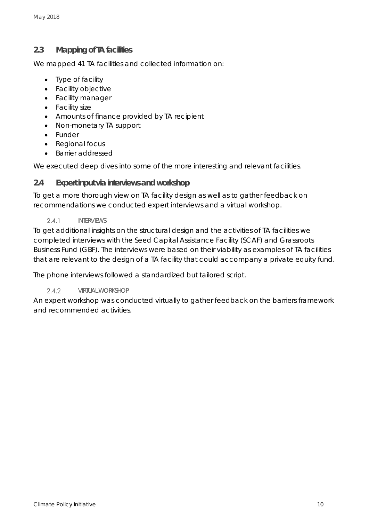### <span id="page-9-0"></span>**2.3 Mapping of TA facilities**

We mapped 41 TA facilities and collected information on:

- Type of facility
- Facility objective
- Facility manager
- Facility size
- Amounts of finance provided by TA recipient
- Non-monetary TA support
- Funder
- Regional focus
- Barrier addressed

We executed deep dives into some of the more interesting and relevant facilities.

### <span id="page-9-1"></span>**2.4 Expert input via interviews and workshop**

To get a more thorough view on TA facility design as well as to gather feedback on recommendations we conducted expert interviews and a virtual workshop.

 $2.4.1$ INTERVIEWS

<span id="page-9-2"></span>To get additional insights on the structural design and the activities of TA facilities we completed interviews with the Seed Capital Assistance Facility (SCAF) and Grassroots Business Fund (GBF). The interviews were based on their viability as examples of TA facilities that are relevant to the design of a TA facility that could accompany a private equity fund.

The phone interviews followed a standardized but tailored script.

#### $2.4.2$ VIRTUAL WORKSHOP

<span id="page-9-3"></span>An expert workshop was conducted virtually to gather feedback on the barriers framework and recommended activities.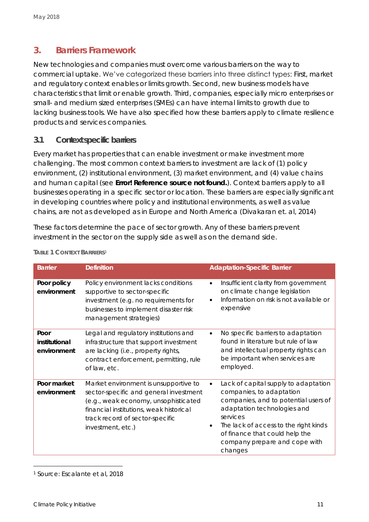### <span id="page-10-0"></span>**3. Barriers Framework**

New technologies and companies must overcome various barriers on the way to commercial uptake. We've categorized these barriers into three distinct types: First, market and regulatory context enables or limits growth. Second, new business models have characteristics that limit or enable growth. Third, companies, especially micro enterprises or small- and medium sized enterprises (SMEs) can have internal limits to growth due to lacking business tools. We have also specified how these barriers apply to climate resilience products and services companies.

### <span id="page-10-1"></span>**3.1 Context specific barriers**

Every market has properties that can enable investment or make investment more challenging. The most common context barriers to investment are lack of (1) policy environment, (2) institutional environment, (3) market environment, and (4) value chains and human capital (see *Error! Reference source not found.*). Context barriers apply to all businesses operating in a specific sector or location. These barriers are especially significant in developing countries where policy and institutional environments, as well as value chains, are not as developed as in Europe and North America (Divakaran et. al, 2014)

These factors determine the pace of sector growth. Any of these barriers prevent investment in the sector on the supply side as well as on the demand side.

| <b>Barrier</b>                       | <b>Definition</b>                                                                                                                                                                                                          | <b>Adaptation-Specific Barrier</b>                                                                                                                                                                                                                                                                   |
|--------------------------------------|----------------------------------------------------------------------------------------------------------------------------------------------------------------------------------------------------------------------------|------------------------------------------------------------------------------------------------------------------------------------------------------------------------------------------------------------------------------------------------------------------------------------------------------|
| Poor policy<br>environment           | Policy environment lacks conditions<br>supportive to sector-specific<br>investment (e.g. no requirements for<br>businesses to implement disaster risk<br>management strategies)                                            | Insufficient clarity from government<br>$\bullet$<br>on climate change legislation<br>Information on risk is not available or<br>expensive                                                                                                                                                           |
| Poor<br>institutional<br>environment | Legal and regulatory institutions and<br>infrastructure that support investment<br>are lacking (i.e., property rights,<br>contract enforcement, permitting, rule<br>of law, etc.                                           | No specific barriers to adaptation<br>$\bullet$<br>found in literature but rule of law<br>and intellectual property rights can<br>be important when services are<br>employed.                                                                                                                        |
| Poor market<br>environment           | Market environment is unsupportive to<br>sector-specific and general investment<br>(e.g., weak economy, unsophisticated<br>financial institutions, weak historical<br>track record of sector-specific<br>investment, etc.) | Lack of capital supply to adaptation<br>$\bullet$<br>companies, to adaptation<br>companies, and to potential users of<br>adaptation technologies and<br>services<br>The lack of access to the right kinds<br>$\bullet$<br>of finance that could help the<br>company prepare and cope with<br>changes |

#### **TABLE 1 CONTEXT BARRIERS***<sup>1</sup>*

<sup>1</sup> Source: Escalante et al, 2018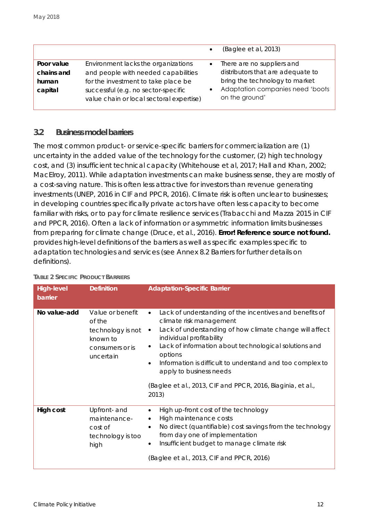|                                                                                                                                                                                                                                                      | (Baglee et al, 2013)                                                                                                                                    |
|------------------------------------------------------------------------------------------------------------------------------------------------------------------------------------------------------------------------------------------------------|---------------------------------------------------------------------------------------------------------------------------------------------------------|
| Environment lacks the organizations<br>Poor value<br>and people with needed capabilities<br>chains and<br>for the investment to take place be<br>human<br>successful (e.g. no sector-specific<br>capital<br>value chain or local sectoral expertise) | There are no suppliers and<br>distributors that are adequate to<br>bring the technology to market<br>Adaptation companies need 'boots<br>on the ground' |

### <span id="page-11-0"></span>**3.2 Business model barriers**

The most common product- or service-specific barriers for commercialization are (1) uncertainty in the added value of the technology for the customer, (2) high technology cost, and (3) insufficient technical capacity (Whitehouse et al, 2017; Hall and Khan, 2002; MacElroy, 2011). While adaptation investments can make business sense, they are mostly of a cost-saving nature. This is often less attractive for investors than revenue generating investments (UNEP, 2016 in CIF and PPCR, 2016). Climate risk is often unclear to businesses; in developing countries specifically private actors have often less capacity to become familiar with risks, or to pay for climate resilience services (Trabacchi and Mazza 2015 in CIF and PPCR, 2016). Often a lack of information or asymmetric information limits businesses from preparing for climate change (Druce, et al., 2016). **Error! Reference source not found.** provides high-level definitions of the barriers as well as specific examples specific to adaptation technologies and services (see *Annex [8.2](#page-42-0) [Barriers](#page-42-0)* for further details on definitions).

| High-level<br>barrier | Definition                                                                                  | <b>Adaptation-Specific Barrier</b>                                                                                                                                                                                                                                                                                                                                                                                                                                |
|-----------------------|---------------------------------------------------------------------------------------------|-------------------------------------------------------------------------------------------------------------------------------------------------------------------------------------------------------------------------------------------------------------------------------------------------------------------------------------------------------------------------------------------------------------------------------------------------------------------|
| No value-add          | Value or benefit<br>of the<br>technology is not<br>known to<br>consumers or is<br>uncertain | Lack of understanding of the incentives and benefits of<br>$\bullet$<br>climate risk management<br>Lack of understanding of how climate change will affect<br>$\bullet$<br>individual profitability<br>Lack of information about technological solutions and<br>$\bullet$<br>options<br>Information is difficult to understand and too complex to<br>$\bullet$<br>apply to business needs<br>(Baglee et al., 2013, CIF and PPCR, 2016, Biaginia, et al.,<br>2013) |
|                       |                                                                                             |                                                                                                                                                                                                                                                                                                                                                                                                                                                                   |
| High cost             | Upfront- and<br>maintenance-<br>cost of<br>technology is too<br>high                        | High up-front cost of the technology<br>$\bullet$<br>High maintenance costs<br>No direct (quantifiable) cost savings from the technology<br>$\bullet$<br>from day one of implementation<br>Insufficient budget to manage climate risk<br>(Baglee et al., 2013, CIF and PPCR, 2016)                                                                                                                                                                                |

#### **TABLE 2 SPECIFIC PRODUCT BARRIERS**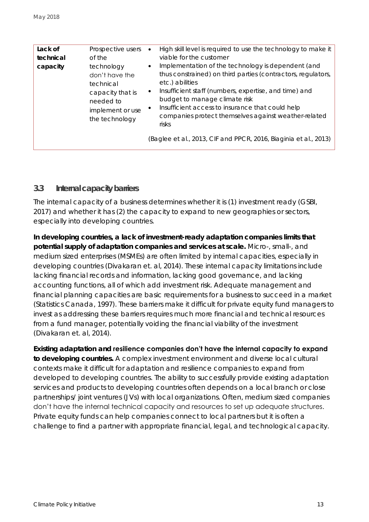| technical<br>capacity | of the<br>technology<br>don't have the<br>technical<br>capacity that is<br>needed to<br>implement or use<br>the technology | viable for the customer<br>Implementation of the technology is dependent (and<br>thus constrained) on third parties (contractors, regulators,<br>etc.) abilities<br>Insufficient staff (numbers, expertise, and time) and<br>$\bullet$<br>budget to manage climate risk<br>Insufficient access to insurance that could help<br>companies protect themselves against weather-related<br>risks<br>(Baglee et al., 2013, CIF and PPCR, 2016, Biaginia et al., 2013) |
|-----------------------|----------------------------------------------------------------------------------------------------------------------------|------------------------------------------------------------------------------------------------------------------------------------------------------------------------------------------------------------------------------------------------------------------------------------------------------------------------------------------------------------------------------------------------------------------------------------------------------------------|
|                       |                                                                                                                            |                                                                                                                                                                                                                                                                                                                                                                                                                                                                  |
| Lack of               | Prospective users                                                                                                          | High skill level is required to use the technology to make it                                                                                                                                                                                                                                                                                                                                                                                                    |

### <span id="page-12-0"></span>**3.3 Internal capacity barriers**

The internal capacity of a business determines whether it is (1) investment ready (GSBI, 2017) and whether it has (2) the capacity to expand to new geographies or sectors, especially into developing countries.

**In developing countries, a lack of investment-ready adaptation companies limits that potential supply of adaptation companies and services at scale.** Micro-, small-, and medium sized enterprises (MSMEs) are often limited by internal capacities, especially in developing countries (Divakaran et. al, 2014). These internal capacity limitations include lacking financial records and information, lacking good governance, and lacking accounting functions, all of which add investment risk. Adequate management and financial planning capacities are basic requirements for a business to succeed in a market (Statistics Canada, 1997). These barriers make it difficult for private equity fund managers to invest as addressing these barriers requires much more financial and technical resources from a fund manager, potentially voiding the financial viability of the investment (Divakaran et. al, 2014).

**Existing adaptation and resilience companies don't have the internal capacity to expand to developing countries.** A complex investment environment and diverse local cultural contexts make it difficult for adaptation and resilience companies to expand from developed to developing countries. The ability to successfully provide existing adaptation services and products to developing countries often depends on a local branch or close partnerships/ joint ventures (JVs) with local organizations. Often, medium sized companies don't have the internal technical capacity and resources to set up adequate structures. Private equity funds can help companies connect to local partners but it is often a challenge to find a partner with appropriate financial, legal, and technological capacity.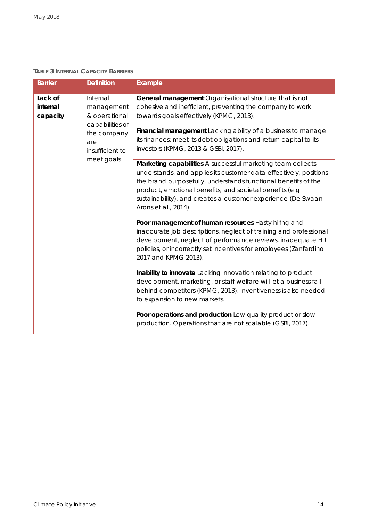#### **TABLE 3 INTERNAL CAPACITY BARRIERS**

| <b>Barrier</b>                                                                                | Definition                                                                                                                                                                                                                                                                                                                                              | Example                                                                                                                                                                                                                                                                             |
|-----------------------------------------------------------------------------------------------|---------------------------------------------------------------------------------------------------------------------------------------------------------------------------------------------------------------------------------------------------------------------------------------------------------------------------------------------------------|-------------------------------------------------------------------------------------------------------------------------------------------------------------------------------------------------------------------------------------------------------------------------------------|
| Lack of<br>Internal<br>internal<br>management<br>& operational<br>capacity<br>capabilities of |                                                                                                                                                                                                                                                                                                                                                         | General management Organisational structure that is not<br>cohesive and inefficient, preventing the company to work<br>towards goals effectively (KPMG, 2013).                                                                                                                      |
|                                                                                               | the company<br>are<br>insufficient to                                                                                                                                                                                                                                                                                                                   | Financial management Lacking ability of a business to manage<br>its finances; meet its debt obligations and return capital to its<br>investors (KPMG, 2013 & GSBI, 2017).                                                                                                           |
| meet goals                                                                                    | Marketing capabilities A successful marketing team collects,<br>understands, and applies its customer data effectively; positions<br>the brand purposefully, understands functional benefits of the<br>product, emotional benefits, and societal benefits (e.g.<br>sustainability), and creates a customer experience (De Swaan<br>Arons et al., 2014). |                                                                                                                                                                                                                                                                                     |
|                                                                                               |                                                                                                                                                                                                                                                                                                                                                         | Poor management of human resources Hasty hiring and<br>inaccurate job descriptions, neglect of training and professional<br>development, neglect of performance reviews, inadequate HR<br>policies, or incorrectly set incentives for employees (Zanfardino<br>2017 and KPMG 2013). |
|                                                                                               |                                                                                                                                                                                                                                                                                                                                                         | Inability to innovate Lacking innovation relating to product<br>development, marketing, or staff welfare will let a business fall<br>behind competitors (KPMG, 2013). Inventiveness is also needed<br>to expansion to new markets.                                                  |
|                                                                                               |                                                                                                                                                                                                                                                                                                                                                         | Poor operations and production Low quality product or slow<br>production. Operations that are not scalable (GSBI, 2017).                                                                                                                                                            |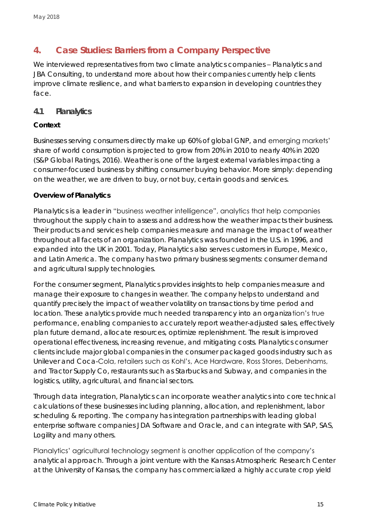### <span id="page-14-0"></span>**4. Case Studies: Barriers from a Company Perspective**

We interviewed representatives from two climate analytics companies – Planalytics and JBA Consulting, to understand more about how their companies currently help clients improve climate resilience, and what barriers to expansion in developing countries they face.

### <span id="page-14-1"></span>**4.1 Planalytics**

### **Context**

Businesses serving consumers directly make up 60% of global GNP, and emerging markets' share of world consumption is projected to grow from 20% in 2010 to nearly 40% in 2020 (S&P Global Ratings, 2016). Weather is one of the largest external variables impacting a consumer-focused business by shifting consumer buying behavior. More simply: depending on the weather, we are driven to buy, or not buy, certain goods and services.

### **Overview of Planalytics**

Planalytics is a leader in "business weather intelligence", analytics that help companies throughout the supply chain to assess and address how the weather impacts their business. Their products and services help companies measure and manage the impact of weather throughout all facets of an organization. Planalytics was founded in the U.S. in 1996, and expanded into the UK in 2001. Today, Planalytics also serves customers in Europe, Mexico, and Latin America. The company has two primary business segments: consumer demand and agricultural supply technologies.

For the consumer segment, Planalytics provides insights to help companies measure and manage their exposure to changes in weather. The company helps to understand and quantify precisely the impact of weather volatility on transactions by time period and location. These analytics provide much needed transparency into an organization's true performance, enabling companies to accurately report weather-adjusted sales, effectively plan future demand, allocate resources, optimize replenishment. The result is improved operational effectiveness, increasing revenue, and mitigating costs. Planalytics consumer clients include major global companies in the consumer packaged goods industry such as Unilever and Coca-Cola, retailers such as Kohl's, Ace Hardware, Ross Stores, Debenhams, and Tractor Supply Co, restaurants such as Starbucks and Subway, and companies in the logistics, utility, agricultural, and financial sectors.

Through data integration, Planalytics can incorporate weather analytics into core technical calculations of these businesses including planning, allocation, and replenishment, labor scheduling & reporting. The company has integration partnerships with leading global enterprise software companies JDA Software and Oracle, and can integrate with SAP, SAS, Logility and many others.

Planalytics' agricultural technology segment is another application of the company's analytical approach. Through a joint venture with the Kansas Atmospheric Research Center at the University of Kansas, the company has commercialized a highly accurate crop yield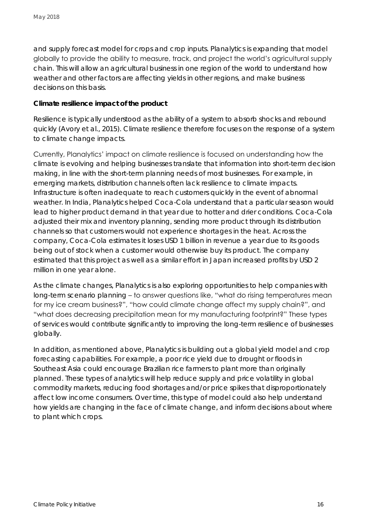and supply forecast model for crops and crop inputs. Planalytics is expanding that model globally to provide the ability to measure, track, and project the world's agricultural supply chain. This will allow an agricultural business in one region of the world to understand how weather and other factors are affecting yields in other regions, and make business decisions on this basis.

**Climate resilience impact of the product**

Resilience is typically understood as the ability of a system to absorb shocks and rebound quickly (Avory et al., 2015). Climate resilience therefore focuses on the response of a system to climate change impacts.

Currently, Planalytics' impact on climate resilience is focused on understanding how the climate is evolving and helping businesses translate that information into short-term decision making, in line with the short-term planning needs of most businesses. For example, in emerging markets, distribution channels often lack resilience to climate impacts. Infrastructure is often inadequate to reach customers quickly in the event of abnormal weather. In India, Planalytics helped Coca-Cola understand that a particular season would lead to higher product demand in that year due to hotter and drier conditions. Coca-Cola adjusted their mix and inventory planning, sending more product through its distribution channels so that customers would not experience shortages in the heat. Across the company, Coca-Cola estimates it loses USD 1 billion in revenue a year due to its goods being out of stock when a customer would otherwise buy its product. The company estimated that this project as well as a similar effort in Japan increased profits by USD 2 million in one year alone.

As the climate changes, Planalytics is also exploring opportunities to help companies with long-term scenario planning – to answer questions like, "what do rising temperatures mean for my ice cream business?", "how could climate change affect my supply chain?", and "what does decreasing precipitation mean for my manufacturing footprint?" These types of services would contribute significantly to improving the long-term resilience of businesses globally.

In addition, as mentioned above, Planalytics is building out a global yield model and crop forecasting capabilities. For example, a poor rice yield due to drought or floods in Southeast Asia could encourage Brazilian rice farmers to plant more than originally planned. These types of analytics will help reduce supply and price volatility in global commodity markets, reducing food shortages and/or price spikes that disproportionately affect low income consumers. Over time, this type of model could also help understand how yields are changing in the face of climate change, and inform decisions about where to plant which crops.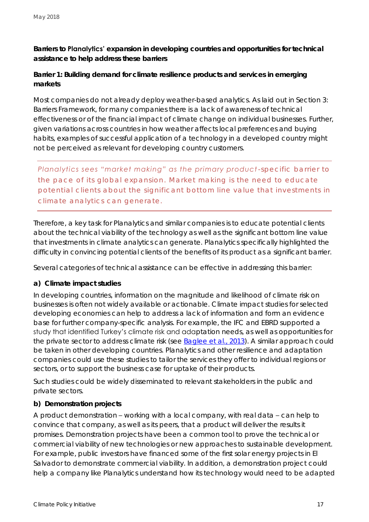**Barriers to Planalytics' expansion in developing countries and opportunities for technical assistance to help address these barriers**

**Barrier 1: Building demand for climate resilience products and services in emerging markets**

Most companies do not already deploy weather-based analytics. As laid out in Section 3: [Barriers Framework,](#page-10-0) for many companies there is a lack of awareness of technical effectiveness or of the financial impact of climate change on individual businesses. Further, given variations across countries in how weather affects local preferences and buying habits, examples of successful application of a technology in a developed country might not be perceived as relevant for developing country customers.

*Planalytics sees "market making" as the primary product-specific barrier to the pace of its global expansion. Market making is the need to educate potential clients about the significant bottom line value that investments in climate analytics can generate.*

Therefore, a key task for Planalytics and similar companies is to educate potential clients about the technical viability of the technology as well as the significant bottom line value that investments in climate analytics can generate. Planalytics specifically highlighted the difficulty in convincing potential clients of the benefits of its product as a significant barrier.

Several categories of technical assistance can be effective in addressing this barrier:

### **a) Climate impact studies**

In developing countries, information on the magnitude and likelihood of climate risk on businesses is often not widely available or actionable. Climate impact studies for selected developing economies can help to address a lack of information and form an evidence base for further company-specific analysis. For example, the IFC and EBRD supported a study that identified Turkey's climate risk and adaptation needs, as well as opportunities for the private sector to address climate risk (see [Baglee et al., 2013\)](http://www.ebrd.com/downloads/sector/sei/turkey-adaptation-study.pdf). A similar approach could be taken in other developing countries. Planalytics and other resilience and adaptation companies could use these studies to tailor the services they offer to individual regions or sectors, or to support the business case for uptake of their products.

Such studies could be widely disseminated to relevant stakeholders in the public and private sectors.

### **b) Demonstration projects**

A product demonstration – working with a local company, with real data – can help to convince that company, as well as its peers, that a product will deliver the results it promises. Demonstration projects have been a common tool to prove the technical or commercial viability of new technologies or new approaches to sustainable development. For example, public investors have financed some of the first solar energy projects in El Salvador to demonstrate commercial viability. In addition, a demonstration project could help a company like Planalytics understand how its technology would need to be adapted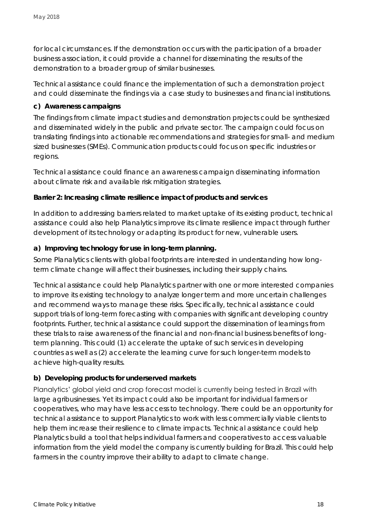for local circumstances. If the demonstration occurs with the participation of a broader business association, it could provide a channel for disseminating the results of the demonstration to a broader group of similar businesses.

Technical assistance could finance the implementation of such a demonstration project and could disseminate the findings via a case study to businesses and financial institutions.

**c) Awareness campaigns**

The findings from climate impact studies and demonstration projects could be synthesized and disseminated widely in the public and private sector. The campaign could focus on translating findings into actionable recommendations and strategies for small- and medium sized businesses (SMEs). Communication products could focus on specific industries or regions.

Technical assistance could finance an awareness campaign disseminating information about climate risk and available risk mitigation strategies.

**Barrier 2: Increasing climate resilience impact of products and services**

In addition to addressing barriers related to market uptake of its existing product, technical assistance could also help Planalytics improve its climate resilience impact through further development of its technology or adapting its product for new, vulnerable users.

**a) Improving technology for use in long-term planning.** 

Some Planalytics clients with global footprints are interested in understanding how longterm climate change will affect their businesses, including their supply chains.

Technical assistance could help Planalytics partner with one or more interested companies to improve its existing technology to analyze longer term and more uncertain challenges and recommend ways to manage these risks. Specifically, technical assistance could support trials of long-term forecasting with companies with significant developing country footprints. Further, technical assistance could support the dissemination of learnings from these trials to raise awareness of the financial and non-financial business benefits of longterm planning. This could (1) accelerate the uptake of such services in developing countries as well as (2) accelerate the learning curve for such longer-term models to achieve high-quality results.

### **b) Developing products for underserved markets**

Planalytics' global yield and crop forecast model is currently being tested in Brazil with large agribusinesses. Yet its impact could also be important for individual farmers or cooperatives, who may have less access to technology. There could be an opportunity for technical assistance to support Planalytics to work with less commercially viable clients to help them increase their resilience to climate impacts. Technical assistance could help Planalytics build a tool that helps individual farmers and cooperatives to access valuable information from the yield model the company is currently building for Brazil. This could help farmers in the country improve their ability to adapt to climate change.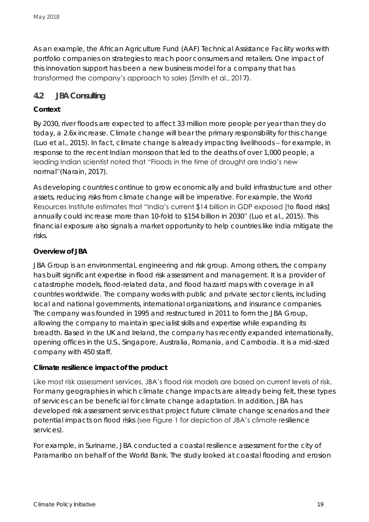As an example, the African Agriculture Fund (AAF) Technical Assistance Facility works with portfolio companies on strategies to reach poor consumers and retailers. One impact of this innovation support has been a new business model for a company that has transformed the company's approach to sales (Smith et al., 2017).

### <span id="page-18-0"></span>**4.2 JBA Consulting**

### **Context**

By 2030, river floods are expected to affect 33 million more people per year than they do today, a 2.6x increase. Climate change will bear the primary responsibility for this change (Luo et al., 2015). In fact, climate change is already impacting livelihoods – for example, in response to the recent Indian monsoon that led to the deaths of over 1,000 people, a leading Indian scientist noted that "Floods in the time of drought are India's new normal"(Narain, 2017).

As developing countries continue to grow economically and build infrastructure and other assets, reducing risks from climate change will be imperative. For example, the World Resources Institute estimates that "India's current \$14 billion in GDP exposed [to flood risks] annually could increase more than 10-fold to \$154 billion in 2030" (Luo et al., 2015). This financial exposure also signals a market opportunity to help countries like India mitigate the risks.

### **Overview of JBA**

JBA Group is an environmental, engineering and risk group. Among others, the company has built significant expertise in flood risk assessment and management. It is a provider of catastrophe models, flood-related data, and flood hazard maps with coverage in all countries worldwide. The company works with public and private sector clients, including local and national governments, international organizations, and insurance companies. The company was founded in 1995 and restructured in 2011 to form the JBA Group, allowing the company to maintain specialist skills and expertise while expanding its breadth. Based in the UK and Ireland, the company has recently expanded internationally, opening offices in the U.S., Singapore, Australia, Romania, and Cambodia. It is a mid-sized company with 450 staff.

**Climate resilience impact of the product**

Like most risk assessment services, JBA's flood risk models are based on current levels of risk. For many geographies in which climate change impacts are already being felt, these types of services can be beneficial for climate change adaptation. In addition, JBA has developed risk assessment services that project future climate change scenarios and their potential impacts on flood risks (see Figure 1 for depiction of JBA's climate resilience services).

For example, in Suriname, JBA conducted a coastal resilience assessment for the city of Paramaribo on behalf of the World Bank. The study looked at coastal flooding and erosion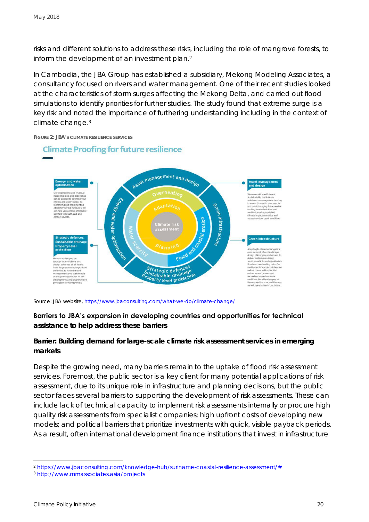risks and different solutions to address these risks, including the role of mangrove forests, to inform the development of an investment plan.<sup>2</sup>

In Cambodia, the JBA Group has established a subsidiary, Mekong Modeling Associates, a consultancy focused on rivers and water management. One of their recent studies looked at the characteristics of storm surges affecting the Mekong Delta, and carried out flood simulations to identify priorities for further studies. The study found that extreme surge is a key risk and noted the importance of furthering understanding including in the context of climate change. 3



**FIGURE 2: JBA'S CLIMATE RESILIENCE SERVICES**

*Source: JBA website,<https://www.jbaconsulting.com/what-we-do/climate-change/>*

#### **Barriers to JBA's expansion in developing countries and opportunities for technical**

**assistance to help address these barriers**

**Barrier: Building demand for large-scale climate risk assessment services in emerging markets**

Despite the growing need, many barriers remain to the uptake of flood risk assessment services. Foremost, the public sector is a key client for many potential applications of risk assessment, due to its unique role in infrastructure and planning decisions, but the public sector faces several barriers to supporting the development of risk assessments. These can include lack of technical capacity to implement risk assessments internally or procure high quality risk assessments from specialist companies; high upfront costs of developing new models; and political barriers that prioritize investments with quick, visible payback periods. As a result, often international development finance institutions that invest in infrastructure

<sup>2</sup> [https://www.jbaconsulting.com/knowledge-hub/suriname-coastal-resilience-assessment/#](https://www.jbaconsulting.com/knowledge-hub/suriname-coastal-resilience-assessment/)

<sup>3</sup> <http://www.mmassociates.asia/projects>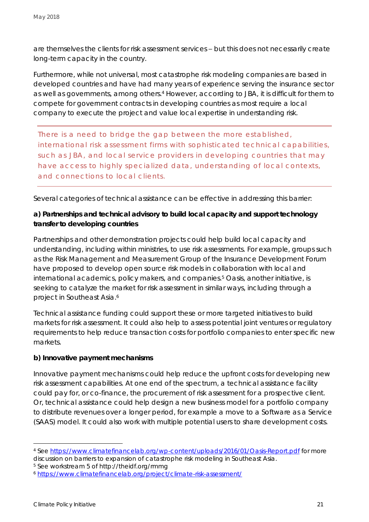are themselves the clients for risk assessment services – but this does not necessarily create long-term capacity in the country.

Furthermore, while not universal, most catastrophe risk modeling companies are based in developed countries and have had many years of experience serving the insurance sector as well as governments, among others.<sup>4</sup> However, according to JBA, it is difficult for them to compete for government contracts in developing countries as most require a local company to execute the project and value local expertise in understanding risk.

*There is a need to bridge the gap between the more established, international risk assessment firms with sophisticated technical capabilities, such as JBA, and local service providers in developing countries that may have access to highly specialized data, understanding of local contexts, and connections to local clients.* 

Several categories of technical assistance can be effective in addressing this barrier:

**a) Partnerships and technical advisory to build local capacity and support technology transfer to developing countries**

Partnerships and other demonstration projects could help build local capacity and understanding, including within ministries, to use risk assessments. For example, groups such as the Risk Management and Measurement Group of the Insurance Development Forum have proposed to develop open source risk models in collaboration with local and international academics, policy makers, and companies.<sup>5</sup> Oasis, another initiative, is seeking to catalyze the market for risk assessment in similar ways, including through a project in Southeast Asia.<sup>6</sup>

Technical assistance funding could support these or more targeted initiatives to build markets for risk assessment. It could also help to assess potential joint ventures or regulatory requirements to help reduce transaction costs for portfolio companies to enter specific new markets.

### **b) Innovative payment mechanisms**

Innovative payment mechanisms could help reduce the upfront costs for developing new risk assessment capabilities. At one end of the spectrum, a technical assistance facility could pay for, or co-finance, the procurement of risk assessment for a prospective client. Or, technical assistance could help design a new business model for a portfolio company to distribute revenues over a longer period, for example a move to a Software as a Service (SAAS) model. It could also work with multiple potential users to share development costs.

<sup>4</sup> See<https://www.climatefinancelab.org/wp-content/uploads/2016/01/Oasis-Report.pdf> for more discussion on barriers to expansion of catastrophe risk modeling in Southeast Asia.

<sup>5</sup> See workstream 5 of http://theidf.org/rmmg

<sup>6</sup> <https://www.climatefinancelab.org/project/climate-risk-assessment/>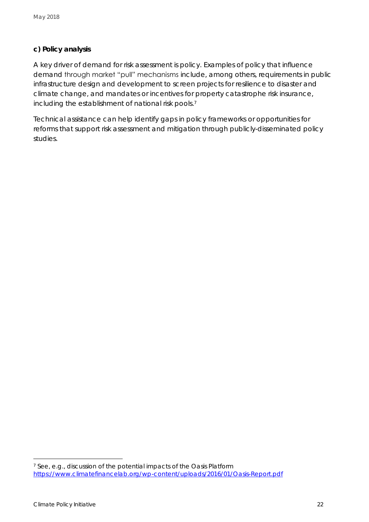### **c) Policy analysis**

A key driver of demand for risk assessment is policy. Examples of policy that influence demand through market "pull" mechanisms include, among others, requirements in public infrastructure design and development to screen projects for resilience to disaster and climate change, and mandates or incentives for property catastrophe risk insurance, including the establishment of national risk pools. 7

Technical assistance can help identify gaps in policy frameworks or opportunities for reforms that support risk assessment and mitigation through publicly-disseminated policy studies.

<sup>7</sup> See, e.g., discussion of the potential impacts of the Oasis Platform <https://www.climatefinancelab.org/wp-content/uploads/2016/01/Oasis-Report.pdf>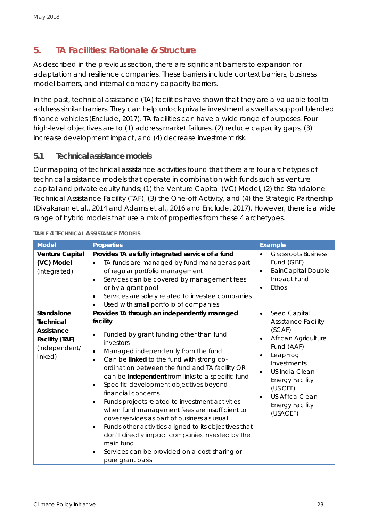## <span id="page-22-0"></span>**5. TA Facilities: Rationale & Structure**

As described in the previous section, there are significant barriers to expansion for adaptation and resilience companies. These barriers include context barriers, business model barriers, and internal company capacity barriers.

In the past, technical assistance (TA) facilities have shown that they are a valuable tool to address similar barriers. They can help unlock private investment as well as support blended finance vehicles (Enclude, 2017). TA facilities can have a wide range of purposes. Four high-level objectives are to (1) address market failures, (2) reduce capacity gaps, (3) increase development impact, and (4) decrease investment risk.

### <span id="page-22-1"></span>**5.1 Technical assistance models**

Our mapping of technical assistance activities found that there are four archetypes of technical assistance models that operate in combination with funds such as venture capital and private equity funds; (1) the Venture Capital (VC) Model, (2) the Standalone Technical Assistance Facility (TAF), (3) the One-off Activity, and (4) the Strategic Partnership (Divakaran et al., 2014 and Adams et al., 2016 and Enclude, 2017). However, there is a wide range of hybrid models that use a mix of properties from these 4 archetypes.

| Model                                                                               | Properties                                                                                                                                                                                                                                                                                                                                                                                                                                                                                                                                                                                                                                                                                                                                            | Example                                                                                                                                                                                                                                            |
|-------------------------------------------------------------------------------------|-------------------------------------------------------------------------------------------------------------------------------------------------------------------------------------------------------------------------------------------------------------------------------------------------------------------------------------------------------------------------------------------------------------------------------------------------------------------------------------------------------------------------------------------------------------------------------------------------------------------------------------------------------------------------------------------------------------------------------------------------------|----------------------------------------------------------------------------------------------------------------------------------------------------------------------------------------------------------------------------------------------------|
| Venture Capital<br>(VC) Model<br>(integrated)                                       | Provides TA as fully integrated service of a fund<br>TA funds are managed by fund manager as part<br>of regular portfolio management<br>Services can be covered by management fees<br>or by a grant pool<br>Services are solely related to investee companies<br>Used with small portfolio of companies                                                                                                                                                                                                                                                                                                                                                                                                                                               | <b>Grassroots Business</b><br>Fund (GBF)<br><b>BainCapital Double</b><br>$\bullet$<br>Impact Fund<br>Ethos                                                                                                                                         |
| Standalone<br>Technical<br>Assistance<br>Facility (TAF)<br>(Independent/<br>linked) | Provides TA through an independently managed<br>facility<br>Funded by grant funding other than fund<br>investors<br>Managed independently from the fund<br>$\bullet$<br>Can be linked to the fund with strong co-<br>$\bullet$<br>ordination between the fund and TA facility OR<br>can be independent from links to a specific fund<br>Specific development objectives beyond<br>financial concerns<br>Funds projects related to investment activities<br>when fund management fees are insufficient to<br>cover services as part of business as usual<br>Funds other activities aligned to its objectives that<br>don't directly impact companies invested by the<br>main fund<br>Services can be provided on a cost-sharing or<br>pure grant basis | Seed Capital<br>$\bullet$<br>Assistance Facility<br>(SCAF)<br>African Agriculture<br>Fund (AAF)<br>LeapFrog<br>Investments<br>US India Clean<br><b>Energy Facility</b><br>(USICEF)<br><b>US Africa Clean</b><br><b>Energy Facility</b><br>(USACEF) |

#### **TABLE 4 TECHNICAL ASSISTANCE MODELS**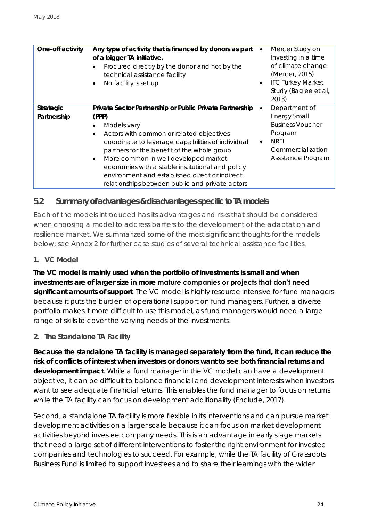| One-off activity         | Any type of activity that is financed by donors as part<br>of a bigger TA initiative.<br>Procured directly by the donor and not by the<br>technical assistance facility<br>No facility is set up                                                                                                                                                                                                                                               | Mercer Study on<br>Investing in a time<br>of climate change<br>(Mercer, 2015)<br><b>IFC Turkey Market</b><br>$\bullet$<br>Study (Baglee et al,<br>2013) |
|--------------------------|------------------------------------------------------------------------------------------------------------------------------------------------------------------------------------------------------------------------------------------------------------------------------------------------------------------------------------------------------------------------------------------------------------------------------------------------|---------------------------------------------------------------------------------------------------------------------------------------------------------|
| Strategic<br>Partnership | Private Sector Partnership or Public Private Partnership<br>(PPP)<br>Models vary<br>Actors with common or related objectives<br>$\bullet$<br>coordinate to leverage capabilities of individual<br>partners for the benefit of the whole group<br>More common in well-developed market<br>economies with a stable institutional and policy<br>environment and established direct or indirect<br>relationships between public and private actors | Department of<br><b>Energy Small</b><br><b>Business Voucher</b><br>Program<br><b>NREL</b><br>$\bullet$<br>Commercialization<br>Assistance Program       |

### <span id="page-23-0"></span>**5.2 Summary of advantages & disadvantages specific to TA models**

Each of the models introduced has its advantages and risks that should be considered when choosing a model to address barriers to the development of the adaptation and resilience market. We summarized some of the most significant thoughts for the models below; see Annex 2 for further case studies of several technical assistance facilities.

### *1. VC Model*

**The VC model is mainly used when the portfolio of investments is small and when investments are of larger size in more mature companies or projects that don't need significant amounts of support**. The VC model is highly resource intensive for fund managers because it puts the burden of operational support on fund managers. Further, a diverse portfolio makes it more difficult to use this model, as fund managers would need a large range of skills to cover the varying needs of the investments.

### *2. The Standalone TA Facility*

**Because the standalone TA facility is managed separately from the fund, it can reduce the risk of conflicts of interest when investors or donors want to see both financial returns and development impact**. While a fund manager in the VC model can have a development objective, it can be difficult to balance financial and development interests when investors want to see adequate financial returns. This enables the fund manager to focus on returns while the TA facility can focus on development additionality (Enclude, 2017).

Second, a standalone TA facility is more flexible in its interventions and can pursue market development activities on a larger scale because it can focus on market development activities beyond investee company needs. This is an advantage in early stage markets that need a large set of different interventions to foster the right environment for investee companies and technologies to succeed. For example, while the TA facility of Grassroots Business Fund is limited to support investees and to share their learnings with the wider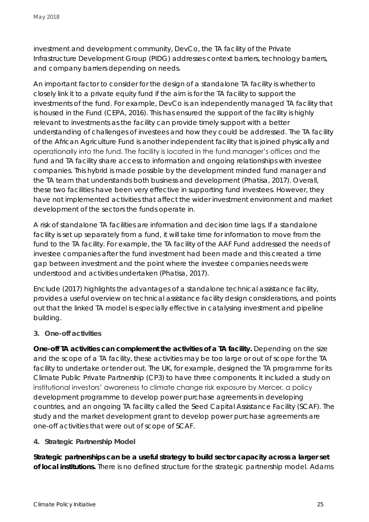investment and development community, DevCo, the TA facility of the Private Infrastructure Development Group (PIDG) addresses context barriers, technology barriers, and company barriers depending on needs.

An important factor to consider for the design of a standalone TA facility is whether to closely link it to a private equity fund if the aim is for the TA facility to support the investments of the fund. For example, DevCo is an independently managed TA facility that is housed in the Fund (CEPA, 2016). This has ensured the support of the facility is highly relevant to investments as the facility can provide timely support with a better understanding of challenges of investees and how they could be addressed. The TA facility of the African Agriculture Fund is another independent facility that is joined physically and operationally into the fund. The facility is located in the fund manager's offices and the fund and TA facility share access to information and ongoing relationships with investee companies. This hybrid is made possible by the development minded fund manager and the TA team that understands both business and development (Phatisa, 2017). Overall, these two facilities have been very effective in supporting fund investees. However, they have not implemented activities that affect the wider investment environment and market development of the sectors the funds operate in.

A risk of standalone TA facilities are information and decision time lags. If a standalone facility is set up separately from a fund, it will take time for information to move from the fund to the TA facility. For example, the TA facility of the AAF Fund addressed the needs of investee companies after the fund investment had been made and this created a time gap between investment and the point where the investee companies needs were understood and activities undertaken (Phatisa, 2017).

Enclude (2017) highlights the advantages of a standalone technical assistance facility, provides a useful overview on technical assistance facility design considerations, and points out that the linked TA model is especially effective in catalysing investment and pipeline building.

### *3. One-off activities*

**One-off TA activities can complement the activities of a TA facility.** Depending on the size and the scope of a TA facility, these activities may be too large or out of scope for the TA facility to undertake or tender out. The UK, for example, designed the TA programme for its Climate Public Private Partnership (CP3) to have three components. It included a study on institutional investors' awareness to climate change risk exposure by Mercer, a policy development programme to develop power purchase agreements in developing countries, and an ongoing TA facility called the Seed Capital Assistance Facility (SCAF). The study and the market development grant to develop power purchase agreements are one-off activities that were out of scope of SCAF.

### *4. Strategic Partnership Model*

**Strategic partnerships can be a useful strategy to build sector capacity across a larger set of local institutions.** There is no defined structure for the strategic partnership model. Adams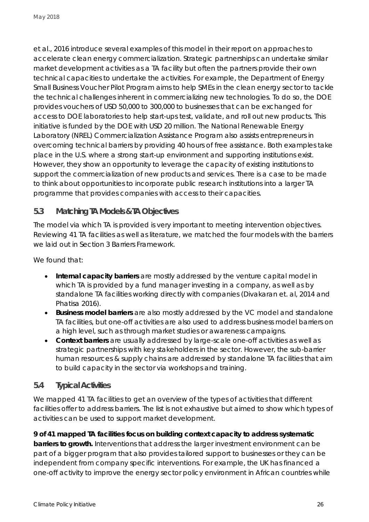et al., 2016 introduce several examples of this model in their report on approaches to accelerate clean energy commercialization. Strategic partnerships can undertake similar market development activities as a TA facility but often the partners provide their own technical capacities to undertake the activities. For example, the Department of Energy Small Business Voucher Pilot Program aims to help SMEs in the clean energy sector to tackle the technical challenges inherent in commercializing new technologies. To do so, the DOE provides vouchers of USD 50,000 to 300,000 to businesses that can be exchanged for access to DOE laboratories to help start-ups test, validate, and roll out new products. This initiative is funded by the DOE with USD 20 million. The National Renewable Energy Laboratory (NREL) Commercialization Assistance Program also assists entrepreneurs in overcoming technical barriers by providing 40 hours of free assistance. Both examples take place in the U.S. where a strong start-up environment and supporting institutions exist. However, they show an opportunity to leverage the capacity of existing institutions to support the commercialization of new products and services. There is a case to be made to think about opportunities to incorporate public research institutions into a larger TA programme that provides companies with access to their capacities.

### <span id="page-25-0"></span>**5.3 Matching TA Models & TA Objectives**

The model via which TA is provided is very important to meeting intervention objectives. Reviewing 41 TA facilities as well as literature, we matched the four models with the barriers we laid out in Section [3](#page-10-0) [Barriers Framework.](#page-10-0)

We found that:

- **Internal capacity barriers** are mostly addressed by the venture capital model in which TA is provided by a fund manager investing in a company, as well as by standalone TA facilities working directly with companies (Divakaran et. al, 2014 and Phatisa 2016).
- **Business model barriers** are also mostly addressed by the VC model and standalone TA facilities, but one-off activities are also used to address business model barriers on a high level, such as through market studies or awareness campaigns.
- **Context barriers** are usually addressed by large-scale one-off activities as well as strategic partnerships with key stakeholders in the sector. However, the sub-barrier human resources & supply chains are addressed by standalone TA facilities that aim to build capacity in the sector via workshops and training.

### <span id="page-25-1"></span>**5.4 Typical Activities**

We mapped 41 TA facilities to get an overview of the types of activities that different facilities offer to address barriers. The list is not exhaustive but aimed to show which types of activities can be used to support market development.

**9 of 41 mapped TA facilities focus on building context capacity to address systematic barriers to growth.** Interventions that address the larger investment environment can be part of a bigger program that also provides tailored support to businesses or they can be independent from company specific interventions. For example, the UK has financed a one-off activity to improve the energy sector policy environment in African countries while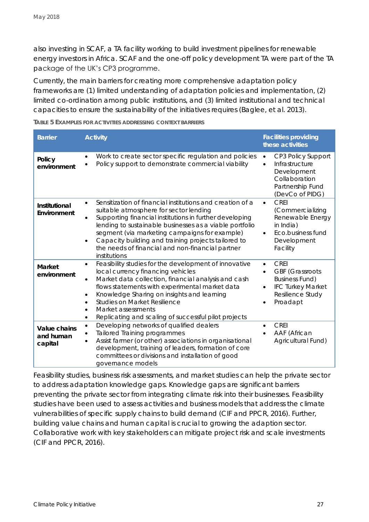also investing in SCAF, a TA facility working to build investment pipelines for renewable energy investors in Africa. SCAF and the one-off policy development TA were part of the TA package of the UK's CP3 programme.

Currently, the main barriers for creating more comprehensive adaptation policy frameworks are (1) limited understanding of adaptation policies and implementation, (2) limited co-ordination among public institutions, and (3) limited institutional and technical capacities to ensure the sustainability of the initiatives requires (Baglee, et al. 2013).

| <b>Barrier</b>                       | Activity                                                                                                                                                                                                                                                                                                                                                                                                                             | <b>Facilities providing</b><br>these activities                                                                                            |
|--------------------------------------|--------------------------------------------------------------------------------------------------------------------------------------------------------------------------------------------------------------------------------------------------------------------------------------------------------------------------------------------------------------------------------------------------------------------------------------|--------------------------------------------------------------------------------------------------------------------------------------------|
| Policy<br>environment                | Work to create sector specific regulation and policies<br>٠<br>Policy support to demonstrate commercial viability                                                                                                                                                                                                                                                                                                                    | CP3 Policy Support<br>$\bullet$<br>Infrastructure<br>$\bullet$<br>Development<br>Collaboration<br>Partnership Fund<br>(DevCo of PIDG)      |
| Institutional<br>Environment         | Sensitization of financial institutions and creation of a<br>$\bullet$<br>suitable atmosphere for sector lending<br>Supporting financial institutions in further developing<br>$\bullet$<br>lending to sustainable businesses as a viable portfolio<br>segment (via marketing campaigns for example)<br>Capacity building and training projects tailored to<br>the needs of financial and non-financial partner<br>institutions      | <b>CREI</b><br>$\bullet$<br>(Commercializing<br>Renewable Energy<br>in India)<br>Eco.business fund<br>$\bullet$<br>Development<br>Facility |
| Market<br>environment                | Feasibility studies for the development of innovative<br>$\bullet$<br>local currency financing vehicles<br>Market data collection, financial analysis and cash<br>$\bullet$<br>flows statements with experimental market data<br>Knowledge Sharing on insights and learning<br>$\bullet$<br><b>Studies on Market Resilience</b><br>$\bullet$<br>Market assessments<br>٠<br>Replicating and scaling of successful pilot projects<br>٠ | <b>CREI</b><br><b>GBF</b> (Grassroots<br><b>Business Fund)</b><br><b>IFC Turkey Market</b><br>$\bullet$<br>Resilience Study<br>Proadapt    |
| Value chains<br>and human<br>capital | Developing networks of qualified dealers<br>$\bullet$<br>Tailored Training programmes<br>Assist farmer (or other) associations in organisational<br>$\bullet$<br>development, training of leaders, formation of core<br>committees or divisions and installation of good<br>governance models                                                                                                                                        | <b>CREI</b><br>AAF (African<br>Agricultural Fund)                                                                                          |

Feasibility studies, business risk assessments, and market studies can help the private sector to address adaptation knowledge gaps. Knowledge gaps are significant barriers preventing the private sector from integrating climate risk into their businesses. Feasibility studies have been used to assess activities and business models that address the climate vulnerabilities of specific supply chains to build demand (CIF and PPCR, 2016). Further, building value chains and human capital is crucial to growing the adaption sector. Collaborative work with key stakeholders can mitigate project risk and scale investments (CIF and PPCR, 2016).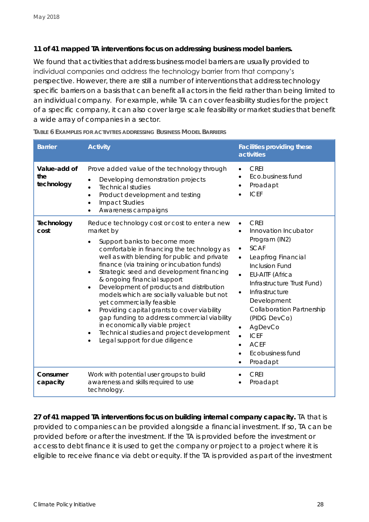**11 of 41 mapped TA interventions focus on addressing business model barriers.**

We found that activities that address business model barriers are usually provided to individual companies and address the technology barrier from that company's perspective. However, there are still a number of interventions that address technology specific barriers on a basis that can benefit all actors in the field rather than being limited to an individual company. For example, while TA can cover feasibility studies for the project of a specific company, it can also cover large scale feasibility or market studies that benefit a wide array of companies in a sector.

| <b>Barrier</b>                    | Activity                                                                                                                                                                                                                                                                                                                                                                                                                                                                                                                                                                                                                                                                           | Facilities providing these<br>activities                                                                                                                                                                                                                                                                                                                         |
|-----------------------------------|------------------------------------------------------------------------------------------------------------------------------------------------------------------------------------------------------------------------------------------------------------------------------------------------------------------------------------------------------------------------------------------------------------------------------------------------------------------------------------------------------------------------------------------------------------------------------------------------------------------------------------------------------------------------------------|------------------------------------------------------------------------------------------------------------------------------------------------------------------------------------------------------------------------------------------------------------------------------------------------------------------------------------------------------------------|
| Value-add of<br>the<br>technology | Prove added value of the technology through<br>Developing demonstration projects<br><b>Technical studies</b><br>$\bullet$<br>Product development and testing<br>$\bullet$<br><b>Impact Studies</b><br>$\bullet$<br>Awareness campaigns                                                                                                                                                                                                                                                                                                                                                                                                                                             | <b>CREI</b><br>Eco.business fund<br>Proadapt<br><b>ICEF</b>                                                                                                                                                                                                                                                                                                      |
| Technology<br>cost                | Reduce technology cost or cost to enter a new<br>market by<br>Support banks to become more<br>$\bullet$<br>comfortable in financing the technology as<br>well as with blending for public and private<br>finance (via training or incubation funds)<br>Strategic seed and development financing<br>& ongoing financial support<br>Development of products and distribution<br>models which are socially valuable but not<br>yet commercially feasible<br>Providing capital grants to cover viability<br>$\bullet$<br>gap funding to address commercial viability<br>in economically viable project<br>Technical studies and project development<br>Legal support for due diligence | <b>CREI</b><br>Innovation Incubator<br>Program (IN2)<br>SCAF<br>٠<br>Leapfrog Financial<br><b>Inclusion Fund</b><br><b>EU-AITF (Africa</b><br>$\bullet$<br>Infrastructure Trust Fund)<br>Infrastructure<br>$\bullet$<br>Development<br><b>Collaboration Partnership</b><br>(PIDG DevCo)<br>AgDevCo<br><b>ICEF</b><br><b>ACEF</b><br>Ecobusiness fund<br>Proadapt |
| Consumer<br>capacity              | Work with potential user groups to build<br>awareness and skills required to use<br>technology.                                                                                                                                                                                                                                                                                                                                                                                                                                                                                                                                                                                    | CREI<br>Proadapt                                                                                                                                                                                                                                                                                                                                                 |

**TABLE 6 EXAMPLES FOR ACTIVITIES ADDRESSING BUSINESS MODEL BARRIERS**

**27 of 41 mapped TA interventions focus on building internal company capacity.** TA that is provided to companies can be provided alongside a financial investment. If so, TA can be provided before or after the investment. If the TA is provided before the investment or access to debt finance it is used to get the company or project to a project where it is eligible to receive finance via debt or equity. If the TA is provided as part of the investment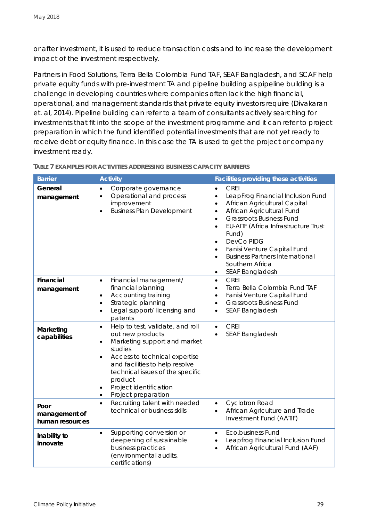or after investment, it is used to reduce transaction costs and to increase the development impact of the investment respectively.

Partners in Food Solutions, Terra Bella Colombia Fund TAF, SEAF Bangladesh, and SCAF help private equity funds with pre-investment TA and pipeline building as pipeline building is a challenge in developing countries where companies often lack the high financial, operational, and management standards that private equity investors require (Divakaran et. al, 2014). Pipeline building can refer to a team of consultants actively searching for investments that fit into the scope of the investment programme and it can refer to project preparation in which the fund identified potential investments that are not yet ready to receive debt or equity finance. In this case the TA is used to get the project or company investment ready.

| <b>Barrier</b>                           | Activity                                                                                                                                                                                                                                                                                                       | Facilities providing these activities                                                                                                                                                                                                                                                                                                                                                                                                               |
|------------------------------------------|----------------------------------------------------------------------------------------------------------------------------------------------------------------------------------------------------------------------------------------------------------------------------------------------------------------|-----------------------------------------------------------------------------------------------------------------------------------------------------------------------------------------------------------------------------------------------------------------------------------------------------------------------------------------------------------------------------------------------------------------------------------------------------|
| General<br>management                    | Corporate governance<br>Operational and process<br>$\bullet$<br>improvement<br><b>Business Plan Development</b><br>$\bullet$                                                                                                                                                                                   | <b>CREI</b><br>LeapFrog Financial Inclusion Fund<br>$\bullet$<br>African Agricultural Capital<br>$\bullet$<br>African Agricultural Fund<br>$\bullet$<br><b>Grassroots Business Fund</b><br>$\bullet$<br>EU-AITF (Africa Infrastructure Trust<br>$\bullet$<br>Fund)<br>DevCo PIDG<br>$\bullet$<br>Fanisi Venture Capital Fund<br>$\bullet$<br><b>Business Partners International</b><br>$\bullet$<br>Southern Africa<br>SEAF Bangladesh<br>$\bullet$ |
| Financial<br>management                  | Financial management/<br>$\bullet$<br>financial planning<br>Accounting training<br>Strategic planning<br>Legal support/licensing and<br>$\bullet$<br>patents                                                                                                                                                   | <b>CREI</b><br>$\bullet$<br>Terra Bella Colombia Fund TAF<br>$\bullet$<br>Fanisi Venture Capital Fund<br>$\bullet$<br><b>Grassroots Business Fund</b><br>$\bullet$<br>SEAF Bangladesh<br>$\bullet$                                                                                                                                                                                                                                                  |
| Marketing<br>capabilities                | Help to test, validate, and roll<br>$\bullet$<br>out new products<br>Marketing support and market<br>$\bullet$<br>studies<br>Access to technical expertise<br>$\bullet$<br>and facilities to help resolve<br>technical issues of the specific<br>product<br>Project identification<br>Project preparation<br>٠ | <b>CREI</b><br>$\bullet$<br>SEAF Bangladesh                                                                                                                                                                                                                                                                                                                                                                                                         |
| Poor<br>management of<br>human resources | Recruiting talent with needed<br>$\bullet$<br>technical or business skills                                                                                                                                                                                                                                     | Cyclotron Road<br>$\bullet$<br>African Agriculture and Trade<br>$\bullet$<br>Investment Fund (AATIF)                                                                                                                                                                                                                                                                                                                                                |
| Inability to<br>innovate                 | Supporting conversion or<br>$\bullet$<br>deepening of sustainable<br>business practices<br>(environmental audits,<br>certifications)                                                                                                                                                                           | Eco.business Fund<br>$\bullet$<br>Leapfrog Financial Inclusion Fund<br>$\bullet$<br>African Agricultural Fund (AAF)<br>$\bullet$                                                                                                                                                                                                                                                                                                                    |

**TABLE 7 EXAMPLES FOR ACTIVITIES ADDRESSING BUSINESS CAPACITY BARRIERS**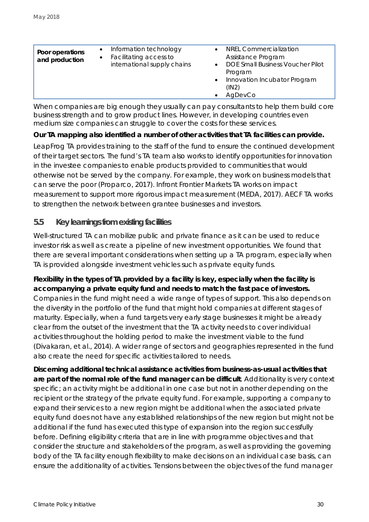| Poor operations<br>and production | Information technology<br>Facilitating access to<br>international supply chains | <b>NREL Commercialization</b><br>Assistance Program<br><b>DOE Small Business Voucher Pilot</b><br>Program<br>Innovation Incubator Program<br>$\bullet$<br>(IN2)<br>AgDevCo |
|-----------------------------------|---------------------------------------------------------------------------------|----------------------------------------------------------------------------------------------------------------------------------------------------------------------------|
|                                   |                                                                                 |                                                                                                                                                                            |

When companies are big enough they usually can pay consultants to help them build core business strength and to grow product lines. However, in developing countries even medium size companies can struggle to cover the costs for these services.

**Our TA mapping also identified a number of other activities that TA facilities can provide.** 

LeapFrog TA provides training to the staff of the fund to ensure the continued development of their target sectors. The fund's TA team also works to identify opportunities for innovation in the investee companies to enable products provided to communities that would otherwise not be served by the company. For example, they work on business models that can serve the poor (Proparco, 2017). Infront Frontier Markets TA works on impact measurement to support more rigorous impact measurement (MEDA, 2017). AECF TA works to strengthen the network between grantee businesses and investors.

### <span id="page-29-0"></span>**5.5 Key learnings from existing facilities**

Well-structured TA can mobilize public and private finance as it can be used to reduce investor risk as well as create a pipeline of new investment opportunities. We found that there are several important considerations when setting up a TA program, especially when TA is provided alongside investment vehicles such as private equity funds.

**Flexibility in the types of TA provided by a facility is key, especially when the facility is accompanying a private equity fund and needs to match the fast pace of investors.** Companies in the fund might need a wide range of types of support. This also depends on the diversity in the portfolio of the fund that might hold companies at different stages of maturity. Especially, when a fund targets very early stage businesses it might be already clear from the outset of the investment that the TA activity needs to cover individual activities throughout the holding period to make the investment viable to the fund (Divakaran, et al., 2014). A wider range of sectors and geographies represented in the fund also create the need for specific activities tailored to needs.

**Discerning additional technical assistance activities from business-as-usual activities that are part of the normal role of the fund manager can be difficult**. Additionality is very context specific; an activity might be additional in one case but not in another depending on the recipient or the strategy of the private equity fund. For example, supporting a company to expand their services to a new region might be additional when the associated private equity fund does not have any established relationships of the new region but might not be additional if the fund has executed this type of expansion into the region successfully before. Defining eligibility criteria that are in line with programme objectives and that consider the structure and stakeholders of the program, as well as providing the governing body of the TA facility enough flexibility to make decisions on an individual case basis, can ensure the additionality of activities. Tensions between the objectives of the fund manager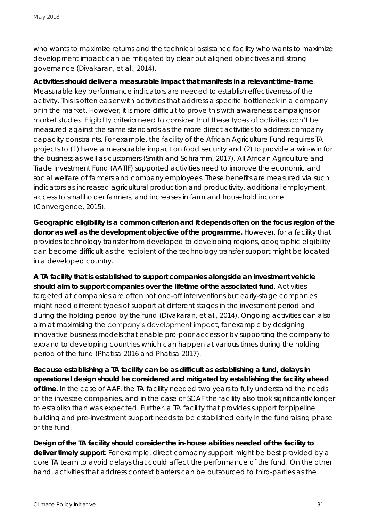who wants to maximize returns and the technical assistance facility who wants to maximize development impact can be mitigated by clear but aligned objectives and strong governance (Divakaran, et al., 2014).

**Activities should deliver a measurable impact that manifests in a relevant time-frame**. Measurable key performance indicators are needed to establish effectiveness of the activity. This is often easier with activities that address a specific bottleneck in a company or in the market. However, it is more difficult to prove this with awareness campaigns or market studies. Eligibility criteria need to consider that these types of activities can't be measured against the same standards as the more direct activities to address company capacity constraints. For example, the facility of the African Agriculture Fund requires TA projects to (1) have a measurable impact on food security and (2) to provide a win-win for the business as well as customers (Smith and Schramm, 2017). All African Agriculture and Trade Investment Fund (AATIF) supported activities need to improve the economic and social welfare of farmers and company employees. These benefits are measured via such indicators as increased agricultural production and productivity, additional employment, access to smallholder farmers, and increases in farm and household income (Convergence, 2015).

**Geographic eligibility is a common criterion and it depends often on the focus region of the donor as well as the development objective of the programme.** However, for a facility that provides technology transfer from developed to developing regions, geographic eligibility can become difficult as the recipient of the technology transfer support might be located in a developed country.

**A TA facility that is established to support companies alongside an investment vehicle should aim to support companies over the lifetime of the associated fund**. Activities targeted at companies are often not one-off interventions but early-stage companies might need different types of support at different stages in the investment period and during the holding period by the fund (Divakaran, et al., 2014). Ongoing activities can also aim at maximising the company's development impact, for example by designing innovative business models that enable pro-poor access or by supporting the company to expand to developing countries which can happen at various times during the holding period of the fund (Phatisa 2016 and Phatisa 2017).

**Because establishing a TA facility can be as difficult as establishing a fund, delays in operational design should be considered and mitigated by establishing the facility ahead of time.** In the case of AAF, the TA facility needed two years to fully understand the needs of the investee companies, and in the case of SCAF the facility also took significantly longer to establish than was expected. Further, a TA facility that provides support for pipeline building and pre-investment support needs to be established early in the fundraising phase of the fund.

**Design of the TA facility should consider the in-house abilities needed of the facility to deliver timely support.** For example, direct company support might be best provided by a core TA team to avoid delays that could affect the performance of the fund. On the other hand, activities that address context barriers can be outsourced to third-parties as the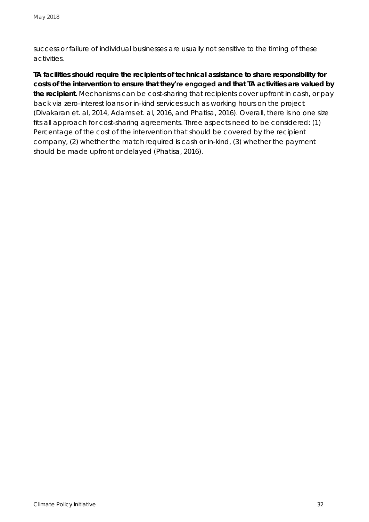success or failure of individual businesses are usually not sensitive to the timing of these activities.

**TA facilities should require the recipients of technical assistance to share responsibility for costs of the intervention to ensure that they're engaged and that TA activities are valued by the recipient.** Mechanisms can be cost-sharing that recipients cover upfront in cash, or pay back via zero-interest loans or in-kind services such as working hours on the project (Divakaran et. al, 2014, Adams et. al, 2016, and Phatisa, 2016). Overall, there is no one size fits all approach for cost-sharing agreements. Three aspects need to be considered: (1) Percentage of the cost of the intervention that should be covered by the recipient company, (2) whether the match required is cash or in-kind, (3) whether the payment should be made upfront or delayed (Phatisa, 2016).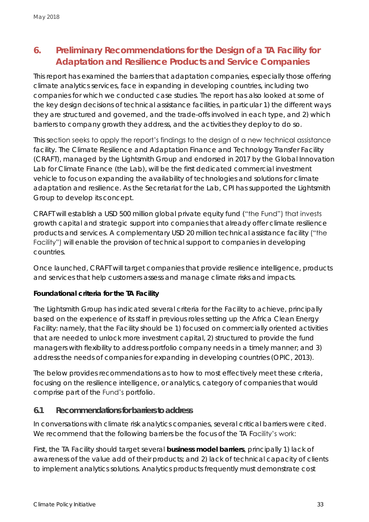### <span id="page-32-0"></span>**6. Preliminary Recommendations for the Design of a TA Facility for Adaptation and Resilience Products and Service Companies**

This report has examined the barriers that adaptation companies, especially those offering climate analytics services, face in expanding in developing countries, including two companies for which we conducted case studies. The report has also looked at some of the key design decisions of technical assistance facilities, in particular 1) the different ways they are structured and governed, and the trade-offs involved in each type, and 2) which barriers to company growth they address, and the activities they deploy to do so.

This section seeks to apply the report's findings to the design of a new technical assistance facility. The Climate Resilience and Adaptation Finance and Technology Transfer Facility (CRAFT), managed by the Lightsmith Group and endorsed in 2017 by the Global Innovation Lab for Climate Finance (the Lab), will be the first dedicated commercial investment vehicle to focus on expanding the availability of technologies and solutions for climate adaptation and resilience. As the Secretariat for the Lab, CPI has supported the Lightsmith Group to develop its concept.

CRAFT will establish a USD 500 million global private equity fund ("the Fund") that invests growth capital and strategic support into companies that already offer climate resilience products and services. A complementary USD 20 million technical assistance facility ("the Facility") will enable the provision of technical support to companies in developing countries.

Once launched, CRAFT will target companies that provide resilience intelligence, products and services that help customers assess and manage climate risks and impacts.

**Foundational criteria for the TA Facility**

The Lightsmith Group has indicated several criteria for the Facility to achieve, principally based on the experience of its staff in previous roles setting up the Africa Clean Energy Facility: namely, that the Facility should be 1) focused on commercially oriented activities that are needed to unlock more investment capital, 2) structured to provide the fund managers with flexibility to address portfolio company needs in a timely manner; and 3) address the needs of companies for expanding in developing countries (OPIC, 2013).

The below provides recommendations as to how to most effectively meet these criteria, focusing on the resilience intelligence, or analytics, category of companies that would comprise part of the Fund's portfolio.

### <span id="page-32-1"></span>**6.1 Recommendations for barriers to address**

In conversations with climate risk analytics companies, several critical barriers were cited. We recommend that the following barriers be the focus of the TA Facility's work:

First, the TA Facility should target several **business model barriers**, principally 1) lack of awareness of the value add of their products; and 2) lack of technical capacity of *clients* to implement analytics solutions. Analytics products frequently must demonstrate cost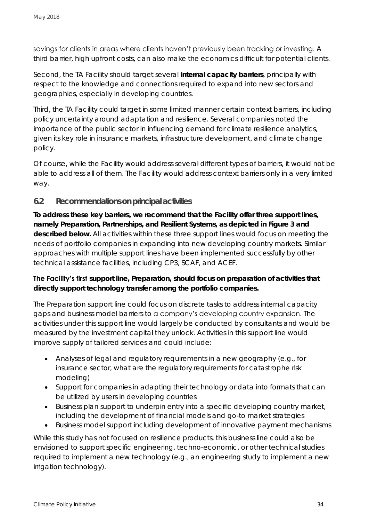savings for clients in areas where clients haven't previously been tracking or investing. A third barrier, high upfront costs, can also make the economics difficult for potential clients.

Second, the TA Facility should target several **internal capacity barriers**, principally with respect to the knowledge and connections required to expand into new sectors and geographies, especially in developing countries.

Third, the TA Facility could target in some limited manner certain context barriers, including policy uncertainty around adaptation and resilience. Several companies noted the importance of the public sector in influencing demand for climate resilience analytics, given its key role in insurance markets, infrastructure development, and climate change policy.

Of course, while the Facility would address several different types of barriers, it would not be able to address all of them. The Facility would address context barriers only in a very limited way.

### <span id="page-33-0"></span>**6.2 Recommendations on principal activities**

**To address these key barriers, we recommend that the Facility offer three support lines, namely Preparation, Partnerships, and Resilient Systems, as depicted in Figure 3 and described below.** All activities within these three support lines would focus on meeting the needs of portfolio companies in expanding into new developing country markets. Similar approaches with multiple support lines have been implemented successfully by other technical assistance facilities, including CP3, SCAF, and ACEF.

**The Facility's first support line, Preparation, should focus on preparation of activities that directly support technology transfer among the portfolio companies.**

The Preparation support line could focus on discrete tasks to address internal capacity gaps and business model barriers to a company's developing country expansion. The activities under this support line would largely be conducted by consultants and would be measured by the investment capital they unlock. Activities in this support line would improve supply of tailored services and could include:

- Analyses of legal and regulatory requirements in a new geography (e.g., for insurance sector, what are the regulatory requirements for catastrophe risk modeling)
- Support for companies in adapting their technology or data into formats that can be utilized by users in developing countries
- Business plan support to underpin entry into a specific developing country market, including the development of financial models and go-to market strategies
- Business model support including development of innovative payment mechanisms

While this study has not focused on resilience products, this business line could also be envisioned to support specific engineering, techno-economic, or other technical studies required to implement a new technology (e.g., an engineering study to implement a new irrigation technology).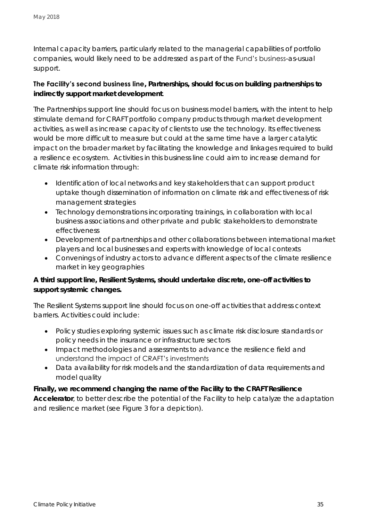Internal capacity barriers, particularly related to the managerial capabilities of portfolio companies, would likely need to be addressed as part of the Fund's business-as-usual support.

**The Facility's second business line, Partnerships, should focus on building partnerships to indirectly support market development**.

The Partnerships support line should focus on business model barriers, with the intent to help stimulate demand for CRAFT portfolio company products through market development activities, as well as increase capacity of clients to use the technology. Its effectiveness would be more difficult to measure but could at the same time have a larger catalytic impact on the broader market by facilitating the knowledge and linkages required to build a resilience ecosystem. Activities in this business line could aim to increase demand for climate risk information through:

- Identification of local networks and key stakeholders that can support product uptake though dissemination of information on climate risk and effectiveness of risk management strategies
- Technology demonstrations incorporating trainings, in collaboration with local business associations and other private and public stakeholders to demonstrate effectiveness
- Development of partnerships and other collaborations between international market players and local businesses and experts with knowledge of local contexts
- Convenings of industry actors to advance different aspects of the climate resilience market in key geographies

**A third support line, Resilient Systems, should undertake discrete, one-off activities to support systemic changes.**

The Resilient Systems support line should focus on one-off activities that address context barriers. Activities could include:

- Policy studies exploring systemic issues such as climate risk disclosure standards or policy needs in the insurance or infrastructure sectors
- Impact methodologies and assessments to advance the resilience field and understand the impact of CRAFT's investments
- Data availability for risk models and the standardization of data requirements and model quality

**Finally, we recommend changing the name of the Facility to the CRAFT Resilience Accelerator**, to better describe the potential of the Facility to help catalyze the adaptation and resilience market (see Figure 3 for a depiction).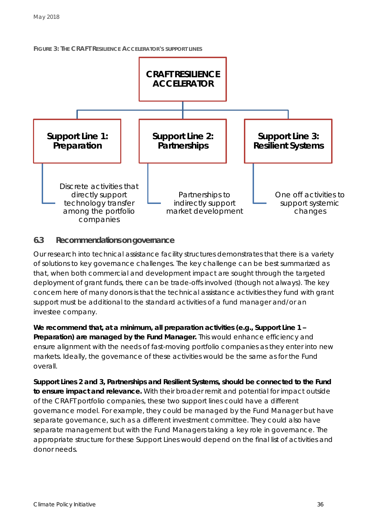



### <span id="page-35-0"></span>**6.3 Recommendations on governance**

Our research into technical assistance facility structures demonstrates that there is a variety of solutions to key governance challenges. The key challenge can be best summarized as that, when both commercial and development impact are sought through the targeted deployment of grant funds, there can be trade-offs involved (though not always). The key concern here of many donors is that the technical assistance activities they fund with grant support must be additional to the standard activities of a fund manager and/or an investee company.

**We recommend that, at a minimum, all preparation activities (e.g., Support Line 1 – Preparation) are managed by the Fund Manager.** This would enhance efficiency and ensure alignment with the needs of fast-moving portfolio companies as they enter into new markets. Ideally, the governance of these activities would be the same as for the Fund overall.

**Support Lines 2 and 3, Partnerships and Resilient Systems, should be connected to the Fund to ensure impact and relevance.** With their broader remit and potential for impact outside of the CRAFT portfolio companies, these two support lines could have a different governance model. For example, they could be managed by the Fund Manager but have separate governance, such as a different investment committee. They could also have separate management but with the Fund Managers taking a key role in governance. The appropriate structure for these Support Lines would depend on the final list of activities and donor needs.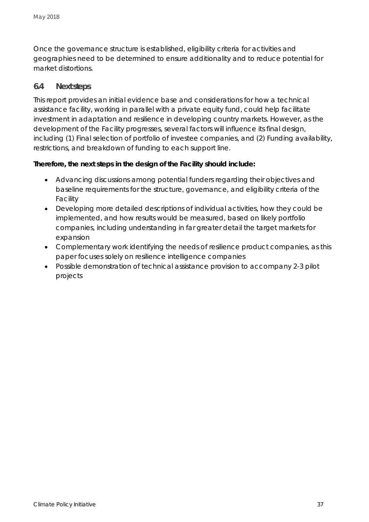Once the governance structure is established, eligibility criteria for activities and geographies need to be determined to ensure additionality and to reduce potential for market distortions.

### <span id="page-36-0"></span>**6.4 Next steps**

This report provides an initial evidence base and considerations for how a technical assistance facility, working in parallel with a private equity fund, could help facilitate investment in adaptation and resilience in developing country markets. However, as the development of the Facility progresses, several factors will influence its final design, including (1) Final selection of portfolio of investee companies, and (2) Funding availability, restrictions, and breakdown of funding to each support line.

**Therefore, the next steps in the design of the Facility should include:**

- Advancing discussions among potential funders regarding their objectives and baseline requirements for the structure, governance, and eligibility criteria of the Facility
- Developing more detailed descriptions of individual activities, how they could be implemented, and how results would be measured, based on likely portfolio companies, including understanding in far greater detail the target markets for expansion
- Complementary work identifying the needs of resilience product companies, as this paper focuses solely on resilience intelligence companies
- Possible demonstration of technical assistance provision to accompany 2-3 pilot projects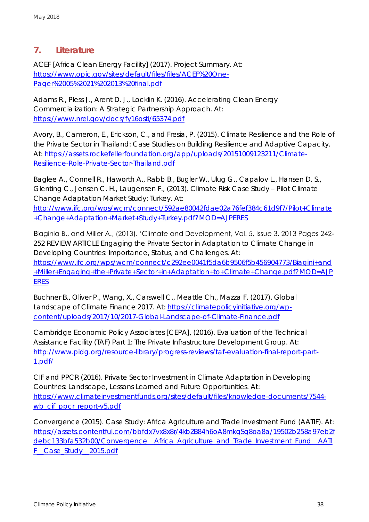### <span id="page-37-0"></span>**7. Literature**

ACEF [Africa Clean Energy Facility] (2017). Project Summary. At: [https://www.opic.gov/sites/default/files/files/ACEF%20One-](https://www.opic.gov/sites/default/files/files/ACEF%20One-Pager%2005%2021%202013%20final.pdf)[Pager%2005%2021%202013%20final.pdf](https://www.opic.gov/sites/default/files/files/ACEF%20One-Pager%2005%2021%202013%20final.pdf)

Adams R., Pless J., Arent D. J., Locklin K. (2016). Accelerating Clean Energy Commercialization: A Strategic Partnership Approach. At: <https://www.nrel.gov/docs/fy16osti/65374.pdf>

Avory, B., Cameron, E., Erickson, C., and Fresia, P. (2015). Climate Resilience and the Role of the Private Sector in Thailand: Case Studies on Building Resilience and Adaptive Capacity. At: [https://assets.rockefellerfoundation.org/app/uploads/20151009123211/Climate-](https://assets.rockefellerfoundation.org/app/uploads/20151009123211/Climate-Resilience-Role-Private-Sector-Thailand.pdf)[Resilience-Role-Private-Sector-Thailand.pdf](https://assets.rockefellerfoundation.org/app/uploads/20151009123211/Climate-Resilience-Role-Private-Sector-Thailand.pdf)

Baglee A., Connell R., Haworth A., Rabb B., Bugler W., Ulug G., Capalov L., Hansen D. S., Glenting C., Jensen C. H., Laugensen F., (2013). Climate Risk Case Study – Pilot Climate Change Adaptation Market Study: Turkey. At: [http://www.ifc.org/wps/wcm/connect/592ae80042fdae02a76fef384c61d9f7/Pilot+Climate](http://www.ifc.org/wps/wcm/connect/592ae80042fdae02a76fef384c61d9f7/Pilot+Climate+Change+Adaptation+Market+Study+Turkey.pdf?MOD=AJPERES)

[+Change+Adaptation+Market+Study+Turkey.pdf?MOD=AJPERES](http://www.ifc.org/wps/wcm/connect/592ae80042fdae02a76fef384c61d9f7/Pilot+Climate+Change+Adaptation+Market+Study+Turkey.pdf?MOD=AJPERES)

Biaginia B., and Miller A., (2013). 'Climate and Development, Vol. 5, Issue 3, 2013 Pages 242- 252 REVIEW ARTICLE Engaging the Private Sector in Adaptation to Climate Change in Developing Countries: Importance, Status, and Challenges. At: [https://www.ifc.org/wps/wcm/connect/c292ee0041f5da6b9506f5b456904773/Biagini+and](https://www.ifc.org/wps/wcm/connect/c292ee0041f5da6b9506f5b456904773/Biagini+and+Miller+Engaging+the+Private+Sector+in+Adaptation+to+Climate+Change.pdf?MOD=AJPERES) [+Miller+Engaging+the+Private+Sector+in+Adaptation+to+Climate+Change.pdf?MOD=AJP](https://www.ifc.org/wps/wcm/connect/c292ee0041f5da6b9506f5b456904773/Biagini+and+Miller+Engaging+the+Private+Sector+in+Adaptation+to+Climate+Change.pdf?MOD=AJPERES) [ERES](https://www.ifc.org/wps/wcm/connect/c292ee0041f5da6b9506f5b456904773/Biagini+and+Miller+Engaging+the+Private+Sector+in+Adaptation+to+Climate+Change.pdf?MOD=AJPERES)

Buchner B., Oliver P., Wang, X., Carswell C., Meattle Ch., Mazza F. (2017). Global Landscape of Climate Finance 2017. At: [https://climatepolicyinitiative.org/wp](https://climatepolicyinitiative.org/wp-content/uploads/2017/10/2017-Global-Landscape-of-Climate-Finance.pdf)[content/uploads/2017/10/2017-Global-Landscape-of-Climate-Finance.pdf](https://climatepolicyinitiative.org/wp-content/uploads/2017/10/2017-Global-Landscape-of-Climate-Finance.pdf)

Cambridge Economic Policy Associates [CEPA], (2016). Evaluation of the Technical Assistance Facility (TAF) Part 1: The Private Infrastructure Development Group. At: [http://www.pidg.org/resource-library/progress-reviews/taf-evaluation-final-report-part-](http://www.pidg.org/resource-library/progress-reviews/taf-evaluation-final-report-part-1.pdf/)[1.pdf/](http://www.pidg.org/resource-library/progress-reviews/taf-evaluation-final-report-part-1.pdf/)

CIF and PPCR (2016). Private Sector Investment in Climate Adaptation in Developing Countries: Landscape, Lessons Learned and Future Opportunities. At: [https://www.climateinvestmentfunds.org/sites/default/files/knowledge-documents/7544](https://www.climateinvestmentfunds.org/sites/default/files/knowledge-documents/7544-wb_cif_ppcr_report-v5.pdf) wb cif ppcr report-v5.pdf

Convergence (2015). Case Study: Africa Agriculture and Trade Investment Fund (AATIF). At: [https://assets.contentful.com/bbfdx7vx8x8r/4kbZB84h6oA8mkgSg8oa8a/19502b258a97eb2f](https://assets.contentful.com/bbfdx7vx8x8r/4kbZB84h6oA8mkgSg8oa8a/19502b258a97eb2fdebc133bfa532b00/Convergence__Africa_Agriculture_and_Trade_Investment_Fund__AATIF__Case_Study__2015.pdf) [debc133bfa532b00/Convergence\\_\\_Africa\\_Agriculture\\_and\\_Trade\\_Investment\\_Fund\\_\\_AATI](https://assets.contentful.com/bbfdx7vx8x8r/4kbZB84h6oA8mkgSg8oa8a/19502b258a97eb2fdebc133bfa532b00/Convergence__Africa_Agriculture_and_Trade_Investment_Fund__AATIF__Case_Study__2015.pdf) [F\\_\\_Case\\_Study\\_\\_2015.pdf](https://assets.contentful.com/bbfdx7vx8x8r/4kbZB84h6oA8mkgSg8oa8a/19502b258a97eb2fdebc133bfa532b00/Convergence__Africa_Agriculture_and_Trade_Investment_Fund__AATIF__Case_Study__2015.pdf)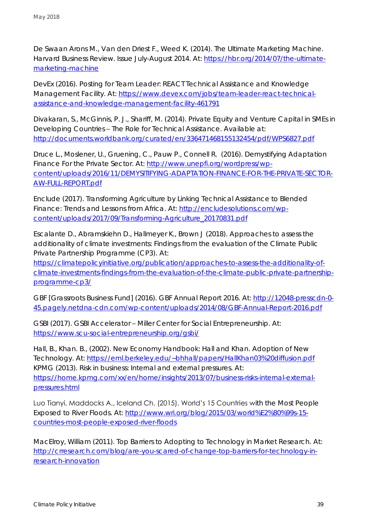De Swaan Arons M., Van den Driest F., Weed K. (2014). The Ultimate Marketing Machine. Harvard Business Review. Issue July-August 2014. At: [https://hbr.org/2014/07/the-ultimate](https://hbr.org/2014/07/the-ultimate-marketing-machine)[marketing-machine](https://hbr.org/2014/07/the-ultimate-marketing-machine)

DevEx (2016). Posting for Team Leader: REACT Technical Assistance and Knowledge Management Facility. At: [https://www.devex.com/jobs/team-leader-react-technical](https://www.devex.com/jobs/team-leader-react-technical-assistance-and-knowledge-management-facility-461791)[assistance-and-knowledge-management-facility-461791](https://www.devex.com/jobs/team-leader-react-technical-assistance-and-knowledge-management-facility-461791)

Divakaran, S., McGinnis, P. J., Shariff, M. (2014). Private Equity and Venture Capital in SMEs in Developing Countries – The Role for Technical Assistance. Available at: <http://documents.worldbank.org/curated/en/336471468155132454/pdf/WPS6827.pdf>

Druce L., Moslener, U., Gruening, C., Pauw P., Connell R. (2016). Demystifying Adaptation Finance For the Private Sector. At: [http://www.unepfi.org/wordpress/wp](http://www.unepfi.org/wordpress/wp-content/uploads/2016/11/DEMYSITIFYING-ADAPTATION-FINANCE-FOR-THE-PRIVATE-SECTOR-AW-FULL-REPORT.pdf)[content/uploads/2016/11/DEMYSITIFYING-ADAPTATION-FINANCE-FOR-THE-PRIVATE-SECTOR-](http://www.unepfi.org/wordpress/wp-content/uploads/2016/11/DEMYSITIFYING-ADAPTATION-FINANCE-FOR-THE-PRIVATE-SECTOR-AW-FULL-REPORT.pdf)[AW-FULL-REPORT.pdf](http://www.unepfi.org/wordpress/wp-content/uploads/2016/11/DEMYSITIFYING-ADAPTATION-FINANCE-FOR-THE-PRIVATE-SECTOR-AW-FULL-REPORT.pdf)

Enclude (2017). Transforming Agriculture by Linking Technical Assistance to Blended Finance: Trends and Lessons from Africa. At: [http://encludesolutions.com/wp](http://encludesolutions.com/wp-content/uploads/2017/09/Transforming-Agriculture_20170831.pdf)[content/uploads/2017/09/Transforming-Agriculture\\_20170831.pdf](http://encludesolutions.com/wp-content/uploads/2017/09/Transforming-Agriculture_20170831.pdf)

Escalante D., Abramskiehn D., Hallmeyer K., Brown J (2018). Approaches to assess the additionality of climate investments: Findings from the evaluation of the Climate Public Private Partnership Programme (CP3). At:

[https://climatepolicyinitiative.org/publication/approaches-to-assess-the-additionality-of](https://climatepolicyinitiative.org/publication/approaches-to-assess-the-additionality-of-climate-investments-findings-from-the-evaluation-of-the-climate-public-private-partnership-programme-cp3/)[climate-investments-findings-from-the-evaluation-of-the-climate-public-private-partnership](https://climatepolicyinitiative.org/publication/approaches-to-assess-the-additionality-of-climate-investments-findings-from-the-evaluation-of-the-climate-public-private-partnership-programme-cp3/)[programme-cp3/](https://climatepolicyinitiative.org/publication/approaches-to-assess-the-additionality-of-climate-investments-findings-from-the-evaluation-of-the-climate-public-private-partnership-programme-cp3/)

GBF [Grassroots Business Fund] (2016). GBF Annual Report 2016. At: [http://12048-presscdn-0-](http://12048-presscdn-0-45.pagely.netdna-cdn.com/wp-content/uploads/2014/08/GBF-Annual-Report-2016.pdf) [45.pagely.netdna-cdn.com/wp-content/uploads/2014/08/GBF-Annual-Report-2016.pdf](http://12048-presscdn-0-45.pagely.netdna-cdn.com/wp-content/uploads/2014/08/GBF-Annual-Report-2016.pdf)

GSBI (2017). GSBI Accelerator – Miller Center for Social Entrepreneurship. At: <https://www.scu-social-entrepreneurship.org/gsbi/>

Hall, B., Khan. B., (2002). New Economy Handbook: Hall and Khan. Adoption of New Technology. At:<https://eml.berkeley.edu/~bhhall/papers/HallKhan03%20diffusion.pdf> KPMG (2013). Risk in business: Internal and external pressures. At: [https://home.kpmg.com/xx/en/home/insights/2013/07/business-risks-internal-external](https://home.kpmg.com/xx/en/home/insights/2013/07/business-risks-internal-external-pressures.html)[pressures.html](https://home.kpmg.com/xx/en/home/insights/2013/07/business-risks-internal-external-pressures.html)

Luo Tianyi, Maddocks A., Iceland Ch. (2015). World's 15 Countries with the Most People Exposed to River Floods. At: [http://www.wri.org/blog/2015/03/world%E2%80%99s-15](http://www.wri.org/blog/2015/03/world%E2%80%99s-15-countries-most-people-exposed-river-floods) [countries-most-people-exposed-river-floods](http://www.wri.org/blog/2015/03/world%E2%80%99s-15-countries-most-people-exposed-river-floods)

MacElroy, William (2011). Top Barriers to Adopting to Technology in Market Research. At: [http://crresearch.com/blog/are-you-scared-of-change-top-barriers-for-technology-in](http://crresearch.com/blog/are-you-scared-of-change-top-barriers-for-technology-in-research-innovation)[research-innovation](http://crresearch.com/blog/are-you-scared-of-change-top-barriers-for-technology-in-research-innovation)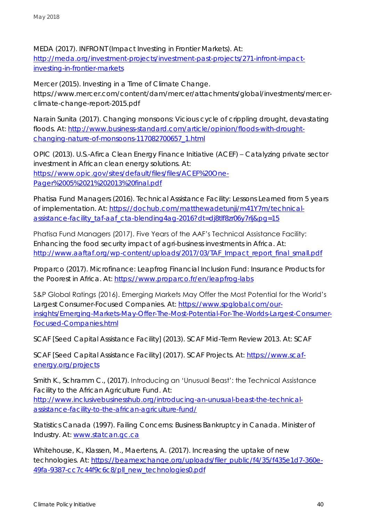MEDA (2017). INFRONT (Impact Investing in Frontier Markets). At: [http://meda.org/investment-projects/investment-past-projects/271-infront-impact](http://meda.org/investment-projects/investment-past-projects/271-infront-impact-investing-in-frontier-markets)[investing-in-frontier-markets](http://meda.org/investment-projects/investment-past-projects/271-infront-impact-investing-in-frontier-markets)

Mercer (2015). Investing in a Time of Climate Change. [https://www.mercer.com/content/dam/mercer/attachments/global/investments/mercer](https://www.mercer.com/content/dam/mercer/attachments/global/investments/mercer-climate-change-report-2015.pdf)[climate-change-report-2015.pdf](https://www.mercer.com/content/dam/mercer/attachments/global/investments/mercer-climate-change-report-2015.pdf)

Narain Sunita (2017). Changing monsoons: Vicious cycle of crippling drought, devastating floods. At: [http://www.business-standard.com/article/opinion/floods-with-drought](http://www.business-standard.com/article/opinion/floods-with-drought-changing-nature-of-monsoons-117082700657_1.html)[changing-nature-of-monsoons-117082700657\\_1.html](http://www.business-standard.com/article/opinion/floods-with-drought-changing-nature-of-monsoons-117082700657_1.html)

OPIC (2013). U.S.-Afirca Clean Energy Finance Initiative (ACEF) – Catalyzing private sector investment in African clean energy solutions. At: [https://www.opic.gov/sites/default/files/files/ACEF%20One-](https://www.opic.gov/sites/default/files/files/ACEF%20One-Pager%2005%2021%202013%20final.pdf)[Pager%2005%2021%202013%20final.pdf](https://www.opic.gov/sites/default/files/files/ACEF%20One-Pager%2005%2021%202013%20final.pdf)

Phatisa Fund Managers (2016). Technical Assistance Facility: Lessons Learned from 5 years of implementation. At: [https://dochub.com/matthewadetunji/m41Y7m/technical](https://dochub.com/matthewadetunji/m41Y7m/technical-assistance-facility_taf-aaf_cta-blending4ag-2016?dt=dj8tlf8zr06y7rlj&pg=15)[assistance-facility\\_taf-aaf\\_cta-blending4ag-2016?dt=dj8tlf8zr06y7rlj&pg=15](https://dochub.com/matthewadetunji/m41Y7m/technical-assistance-facility_taf-aaf_cta-blending4ag-2016?dt=dj8tlf8zr06y7rlj&pg=15)

Phatisa Fund Managers (2017). Five Years of the AAF's Technical Assistance Facility: Enhancing the food security impact of agri-business investments in Africa. At: [http://www.aaftaf.org/wp-content/uploads/2017/03/TAF\\_Impact\\_report\\_final\\_small.pdf](http://www.aaftaf.org/wp-content/uploads/2017/03/TAF_Impact_report_final_small.pdf)

Proparco (2017). Microfinance: Leapfrog Financial Inclusion Fund: Insurance Products for the Poorest in Africa. At:<https://www.proparco.fr/en/leapfrog-labs>

S&P Global Ratings (2016). Emerging Markets May Offer the Most Potential for the World's Largest Consumer-Focused Companies. At: [https://www.spglobal.com/our](https://www.spglobal.com/our-insights/Emerging-Markets-May-Offer-The-Most-Potential-For-The-Worlds-Largest-Consumer-Focused-Companies.html)[insights/Emerging-Markets-May-Offer-The-Most-Potential-For-The-Worlds-Largest-Consumer-](https://www.spglobal.com/our-insights/Emerging-Markets-May-Offer-The-Most-Potential-For-The-Worlds-Largest-Consumer-Focused-Companies.html)[Focused-Companies.html](https://www.spglobal.com/our-insights/Emerging-Markets-May-Offer-The-Most-Potential-For-The-Worlds-Largest-Consumer-Focused-Companies.html)

SCAF [Seed Capital Assistance Facility] (2013). SCAF Mid-Term Review 2013. At: SCAF

SCAF [Seed Capital Assistance Facility] (2017). SCAF Projects. At: [https://www.scaf](https://www.scaf-energy.org/projects)[energy.org/projects](https://www.scaf-energy.org/projects)

Smith K., Schramm C., (2017). Introducing an 'Unusual Beast': the Technical Assistance Facility to the African Agriculture Fund. At: [http://www.inclusivebusinesshub.org/introducing-an-unusual-beast-the-technical-](http://www.inclusivebusinesshub.org/introducing-an-unusual-beast-the-technical-assistance-facility-to-the-african-agriculture-fund/)

[assistance-facility-to-the-african-agriculture-fund/](http://www.inclusivebusinesshub.org/introducing-an-unusual-beast-the-technical-assistance-facility-to-the-african-agriculture-fund/)

Statistics Canada (1997). Failing Concerns: Business Bankruptcy in Canada. Minister of Industry. At: [www.statcan.gc.ca](http://www.statcan.gc.ca/)

Whitehouse, K., Klassen, M., Maertens, A. (2017). Increasing the uptake of new technologies. At: [https://beamexchange.org/uploads/filer\\_public/f4/35/f435e1d7-360e-](https://beamexchange.org/uploads/filer_public/f4/35/f435e1d7-360e-49fa-9387-cc7c44f9c6c8/pll_new_technologies0.pdf)[49fa-9387-cc7c44f9c6c8/pll\\_new\\_technologies0.pdf](https://beamexchange.org/uploads/filer_public/f4/35/f435e1d7-360e-49fa-9387-cc7c44f9c6c8/pll_new_technologies0.pdf)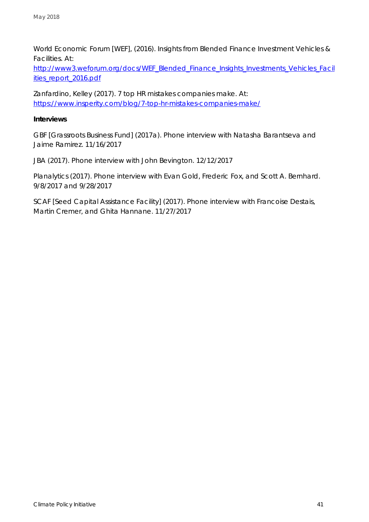World Economic Forum [WEF], (2016). Insights from Blended Finance Investment Vehicles & Facilities. At:

[http://www3.weforum.org/docs/WEF\\_Blended\\_Finance\\_Insights\\_Investments\\_Vehicles\\_Facil](http://www3.weforum.org/docs/WEF_Blended_Finance_Insights_Investments_Vehicles_Facilities_report_2016.pdf) [ities\\_report\\_2016.pdf](http://www3.weforum.org/docs/WEF_Blended_Finance_Insights_Investments_Vehicles_Facilities_report_2016.pdf)

Zanfardino, Kelley (2017). 7 top HR mistakes companies make. At: <https://www.insperity.com/blog/7-top-hr-mistakes-companies-make/>

**Interviews**

GBF [Grassroots Business Fund] (2017a). Phone interview with Natasha Barantseva and Jaime Ramirez. 11/16/2017

JBA (2017). Phone interview with John Bevington. 12/12/2017

Planalytics (2017). Phone interview with Evan Gold, Frederic Fox, and Scott A. Bernhard. 9/8/2017 and 9/28/2017

SCAF [Seed Capital Assistance Facility] (2017). Phone interview with Francoise Destais, Martin Cremer, and Ghita Hannane. 11/27/2017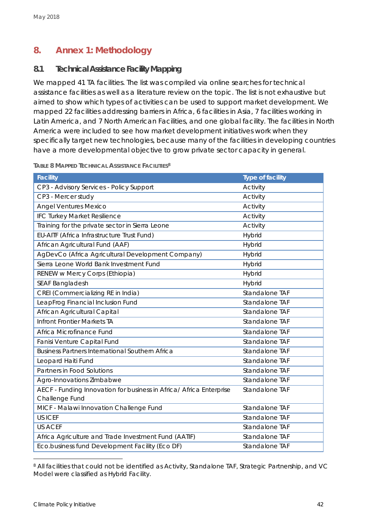### <span id="page-41-0"></span>**8. Annex 1: Methodology**

### <span id="page-41-1"></span>**8.1 Technical Assistance Facility Mapping**

We mapped 41 TA facilities. The list was compiled via online searches for technical assistance facilities as well as a literature review on the topic. The list is not exhaustive but aimed to show which types of activities can be used to support market development. We mapped 22 facilities addressing barriers in Africa, 6 facilities in Asia, 7 facilities working in Latin America, and 7 North American Facilities, and one global facility. The facilities in North America were included to see how market development initiatives work when they specifically target new technologies, because many of the facilities in developing countries have a more developmental objective to grow private sector capacity in general.

| Facility                                                            | Type of facility |
|---------------------------------------------------------------------|------------------|
| CP3 - Advisory Services - Policy Support                            | Activity         |
| CP3 - Mercer study                                                  | Activity         |
| <b>Angel Ventures Mexico</b>                                        | Activity         |
| IFC Turkey Market Resilience                                        | Activity         |
| Training for the private sector in Sierra Leone                     | Activity         |
| EU-AITF (Africa Infrastructure Trust Fund)                          | Hybrid           |
| African Agricultural Fund (AAF)                                     | Hybrid           |
| AgDevCo (Africa Agricultural Development Company)                   | Hybrid           |
| Sierra Leone World Bank Investment Fund                             | Hybrid           |
| RENEW w Mercy Corps (Ethiopia)                                      | <b>Hybrid</b>    |
| SEAF Bangladesh                                                     | Hybrid           |
| CREI (Commercializing RE in India)                                  | Standalone TAF   |
| LeapFrog Financial Inclusion Fund                                   | Standalone TAF   |
| African Agricultural Capital                                        | Standalone TAF   |
| Infront Frontier Markets TA                                         | Standalone TAF   |
| Africa Microfinance Fund                                            | Standalone TAF   |
| Fanisi Venture Capital Fund                                         | Standalone TAF   |
| Business Partners International Southern Africa                     | Standalone TAF   |
| Leopard Haiti Fund                                                  | Standalone TAF   |
| Partners in Food Solutions                                          | Standalone TAF   |
| Agro-Innovations Zimbabwe                                           | Standalone TAF   |
| AECF - Funding Innovation for business in Africa/ Africa Enterprise | Standalone TAF   |
| Challenge Fund                                                      |                  |
| MICF - Malawi Innovation Challenge Fund                             | Standalone TAF   |
| <b>USICEF</b>                                                       | Standalone TAF   |
| <b>US ACEF</b>                                                      | Standalone TAF   |
| Africa Agriculture and Trade Investment Fund (AATIF)                | Standalone TAF   |
| Eco.business fund Development Facility (Eco DF)                     | Standalone TAF   |

**TABLE 8 MAPPED TECHNICAL ASSISTANCE FACILITIES<sup>8</sup>**

<sup>8</sup> All facilities that could not be identified as Activity, Standalone TAF, Strategic Partnership, and VC Model were classified as Hybrid Facility.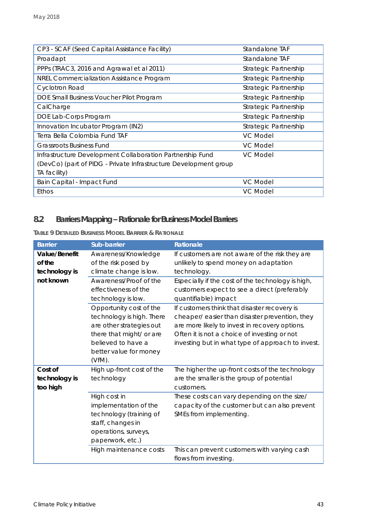| CP3 - SCAF (Seed Capital Assistance Facility)                    | Standalone TAF        |
|------------------------------------------------------------------|-----------------------|
| Proadapt                                                         | Standalone TAF        |
| PPPs (TRAC3, 2016 and Agrawal et al 2011)                        | Strategic Partnership |
| NREL Commercialization Assistance Program                        | Strategic Partnership |
| <b>Cyclotron Road</b>                                            | Strategic Partnership |
| DOE Small Business Voucher Pilot Program                         | Strategic Partnership |
| CalCharge                                                        | Strategic Partnership |
| DOE Lab-Corps Program                                            | Strategic Partnership |
| Innovation Incubator Program (IN2)                               | Strategic Partnership |
| Terra Bella Colombia Fund TAF                                    | VC Model              |
| <b>Grassroots Business Fund</b>                                  | <b>VC Model</b>       |
| Infrastructure Development Collaboration Partnership Fund        | VC Model              |
| (DevCo) (part of PIDG - Private Infrastructure Development group |                       |
| TA facility)                                                     |                       |
| Bain Capital - Impact Fund                                       | VC Model              |
| Ethos                                                            | VC Model              |

## <span id="page-42-0"></span>**8.2 BarriersMapping –Rationale for Business Model Barriers**

**TABLE 9 DETAILED BUSINESS MODEL BARRIER & RATIONALE**

| <b>Barrier</b>                           | Sub-barrier                                                                                                                                                               | Rationale                                                                                                                                                                                                                                             |
|------------------------------------------|---------------------------------------------------------------------------------------------------------------------------------------------------------------------------|-------------------------------------------------------------------------------------------------------------------------------------------------------------------------------------------------------------------------------------------------------|
| Value/Benefit<br>of the<br>technology is | Awareness/Knowledge<br>of the risk posed by<br>climate change is low.                                                                                                     | If customers are not aware of the risk they are<br>unlikely to spend money on adaptation<br>technology.                                                                                                                                               |
| not known                                | Awareness/Proof of the<br>effectiveness of the<br>technology is low.                                                                                                      | Especially if the cost of the technology is high,<br>customers expect to see a direct (preferably<br>quantifiable) impact                                                                                                                             |
|                                          | Opportunity cost of the<br>technology is high. There<br>are other strategies out<br>there that might/ or are<br>believed to have a<br>better value for money<br>$(VfM)$ . | If customers think that disaster recovery is<br>cheaper/ easier than disaster prevention, they<br>are more likely to invest in recovery options.<br>Often it is not a choice of investing or not<br>investing but in what type of approach to invest. |
| Cost of<br>technology is<br>too high     | High up-front cost of the<br>technology                                                                                                                                   | The higher the up-front costs of the technology<br>are the smaller is the group of potential<br>customers.                                                                                                                                            |
|                                          | High cost in<br>implementation of the<br>technology (training of<br>staff, changes in<br>operations, surveys,<br>paperwork, etc.)                                         | These costs can vary depending on the size/<br>capacity of the customer but can also prevent<br>SMEs from implementing.                                                                                                                               |
|                                          | High maintenance costs                                                                                                                                                    | This can prevent customers with varying cash<br>flows from investing.                                                                                                                                                                                 |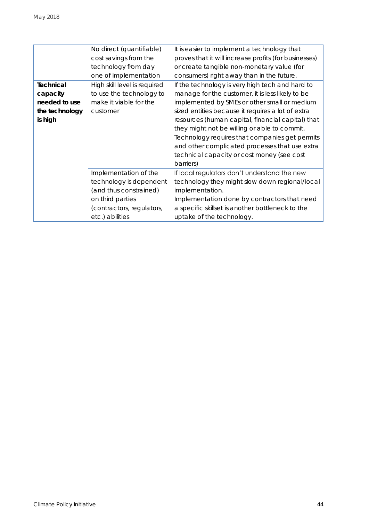|                | No direct (quantifiable)     | It is easier to implement a technology that           |
|----------------|------------------------------|-------------------------------------------------------|
|                | cost savings from the        | proves that it will increase profits (for businesses) |
|                | technology from day          | or create tangible non-monetary value (for            |
|                | one of implementation        | consumers) right away than in the future.             |
| Technical      | High skill level is required | If the technology is very high tech and hard to       |
| capacity       | to use the technology to     | manage for the customer, it is less likely to be      |
| needed to use  | make it viable for the       | implemented by SMEs or other small or medium          |
| the technology | customer                     | sized entities because it requires a lot of extra     |
| is high        |                              | resources (human capital, financial capital) that     |
|                |                              | they might not be willing or able to commit.          |
|                |                              | Technology requires that companies get permits        |
|                |                              | and other complicated processes that use extra        |
|                |                              | technical capacity or cost money (see cost            |
|                |                              | barriers)                                             |
|                | Implementation of the        | If local regulators don't understand the new          |
|                | technology is dependent      | technology they might slow down regional/local        |
|                | (and thus constrained)       | implementation.                                       |
|                | on third parties             | Implementation done by contractors that need          |
|                | (contractors, regulators,    | a specific skillset is another bottleneck to the      |
|                | etc.) abilities              | uptake of the technology.                             |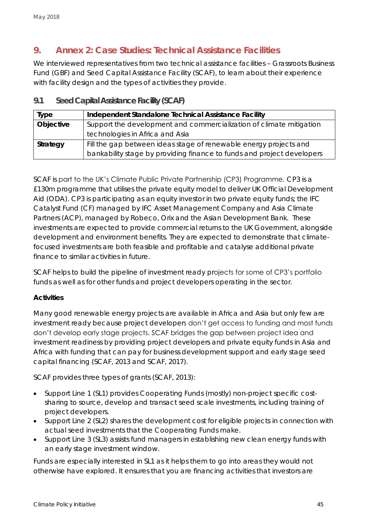### <span id="page-44-0"></span>**9. Annex 2: Case Studies: Technical Assistance Facilities**

We interviewed representatives from two technical assistance facilities - Grassroots Business Fund (GBF) and Seed Capital Assistance Facility (SCAF), to learn about their experience with facility design and the types of activities they provide.

| Type      | Independent Standalone Technical Assistance Facility                   |
|-----------|------------------------------------------------------------------------|
| Objective | Support the development and commercialization of climate mitigation    |
|           | technologies in Africa and Asia                                        |
| Strategy  | Fill the gap between ideas stage of renewable energy projects and      |
|           | bankability stage by providing finance to funds and project developers |

<span id="page-44-1"></span>**9.1 Seed Capital Assistance Facility (SCAF)**

SCAF is part to the UK's Climate Public Private Partnership (CP3) Programme. CP3 is a £130m programme that utilises the private equity model to deliver UK Official Development Aid (ODA). CP3 is participating as an equity investor in two private equity funds; the IFC Catalyst Fund (CF) managed by IFC Asset Management Company and Asia Climate Partners (ACP), managed by Robeco, Orix and the Asian Development Bank. These investments are expected to provide commercial returns to the UK Government, alongside development and environment benefits. They are expected to demonstrate that climatefocused investments are both feasible and profitable and catalyse additional private finance to similar activities in future.

SCAF helps to build the pipeline of investment ready projects for some of CP3's portfolio funds as well as for other funds and project developers operating in the sector.

### **Activities**

Many good renewable energy projects are available in Africa and Asia but only few are investment ready because project developers don't get access to funding and most funds don't develop early stage projects. SCAF bridges the gap between project idea and investment readiness by providing project developers and private equity funds in Asia and Africa with funding that can pay for business development support and early stage seed capital financing (SCAF, 2013 and SCAF, 2017).

SCAF provides three types of grants (SCAF, 2013):

- Support Line 1 (SL1) provides Cooperating Funds (mostly) non-project specific costsharing to source, develop and transact seed scale investments, including training of project developers.
- Support Line 2 (SL2) shares the development cost for eligible projects in connection with actual seed investments that the Cooperating Funds make.
- Support Line 3 (SL3) assists fund managers in establishing new clean energy funds with an early stage investment window.

Funds are especially interested in SL1 as it helps them to go into areas they would not otherwise have explored. It ensures that you are financing activities that investors are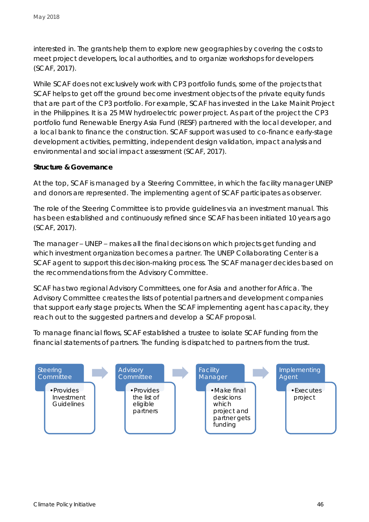interested in. The grants help them to explore new geographies by covering the costs to meet project developers, local authorities, and to organize workshops for developers (SCAF, 2017).

While SCAF does not exclusively work with CP3 portfolio funds, some of the projects that SCAF helps to get off the ground become investment objects of the private equity funds that are part of the CP3 portfolio. For example, SCAF has invested in the Lake Mainit Project in the Philippines. It is a 25 MW hydroelectric power project. As part of the project the CP3 portfolio fund Renewable Energy Asia Fund (RESF) partnered with the local developer, and a local bank to finance the construction. SCAF support was used to co-finance early-stage development activities, permitting, independent design validation, impact analysis and environmental and social impact assessment (SCAF, 2017).

### **Structure & Governance**

At the top, SCAF is managed by a Steering Committee, in which the facility manager UNEP and donors are represented. The implementing agent of SCAF participates as observer.

The role of the Steering Committee is to provide guidelines via an investment manual. This has been established and continuously refined since SCAF has been initiated 10 years ago (SCAF, 2017).

The manager – UNEP – makes all the final decisions on which projects get funding and which investment organization becomes a partner. The UNEP Collaborating Center is a SCAF agent to support this decision-making process. The SCAF manager decides based on the recommendations from the Advisory Committee.

SCAF has two regional Advisory Committees, one for Asia and another for Africa. The Advisory Committee creates the lists of potential partners and development companies that support early stage projects. When the SCAF implementing agent has capacity, they reach out to the suggested partners and develop a SCAF proposal.

To manage financial flows, SCAF established a trustee to isolate SCAF funding from the financial statements of partners. The funding is dispatched to partners from the trust.

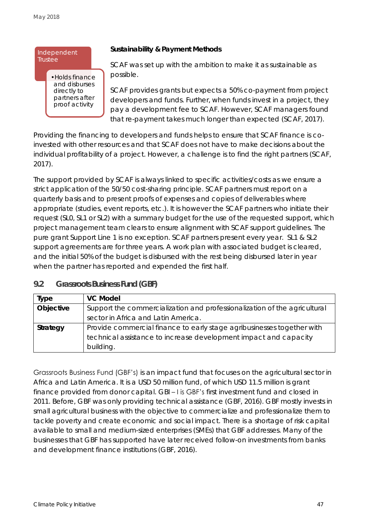#### Independent **Trustee**

•Holds finance and disburses directly to partners after proof activity

**Sustainability & Payment Methods**

SCAF was set up with the ambition to make it as sustainable as possible.

SCAF provides grants but expects a 50% co-payment from project developers and funds. Further, when funds invest in a project, they pay a development fee to SCAF. However, SCAF managers found that re-payment takes much longer than expected (SCAF, 2017).

Providing the financing to developers and funds helps to ensure that SCAF finance is coinvested with other resources and that SCAF does not have to make decisions about the individual profitability of a project. However, a challenge is to find the right partners (SCAF, 2017).

The support provided by SCAF is always linked to specific activities/costs as we ensure a strict application of the 50/50 cost-sharing principle. SCAF partners must report on a quarterly basis and to present proofs of expenses and copies of deliverables where appropriate (studies, event reports, etc.). It is however the SCAF partners who initiate their request (SL0, SL1 or SL2) with a summary budget for the use of the requested support, which project management team clears to ensure alignment with SCAF support guidelines. The pure grant Support Line 1 is no exception. SCAF partners present every year. SL1 & SL2 support agreements are for three years. A work plan with associated budget is cleared, and the initial 50% of the budget is disbursed with the rest being disbursed later in year when the partner has reported and expended the first half.

| Type      | VC Model                                                                  |  |
|-----------|---------------------------------------------------------------------------|--|
| Objective | Support the commercialization and professionalization of the agricultural |  |
|           | sector in Africa and Latin America.                                       |  |
| Strategy  | Provide commercial finance to early stage agribusinesses together with    |  |
|           | technical assistance to increase development impact and capacity          |  |
|           | building.                                                                 |  |

### <span id="page-46-0"></span>**9.2 Grassroots Business Fund (GBF)**

Grassroots Business Fund (GBF's) is an impact fund that focuses on the agricultural sector in Africa and Latin America. It is a USD 50 million fund, of which USD 11.5 million is grant finance provided from donor capital. GBI – I is GBF's first investment fund and closed in 2011. Before, GBF was only providing technical assistance (GBF, 2016). GBF mostly invests in small agricultural business with the objective to commercialize and professionalize them to tackle poverty and create economic and social impact. There is a shortage of risk capital available to small and medium-sized enterprises (SMEs) that GBF addresses. Many of the businesses that GBF has supported have later received follow-on investments from banks and development finance institutions (GBF, 2016).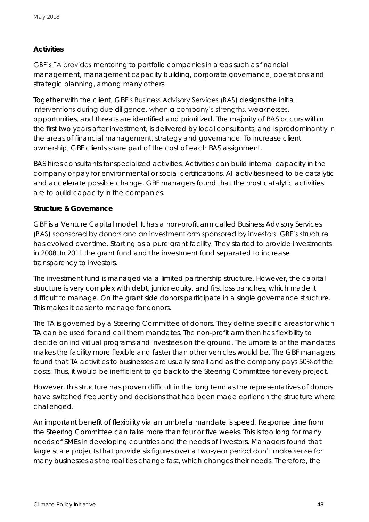### **Activities**

GBF's TA provides mentoring to portfolio companies in areas such as financial management, management capacity building, corporate governance, operations and strategic planning, among many others.

Together with the client, GBF's Business Advisory Services (BAS) designs the initial interventions during due diligence, when a company's strengths, weaknesses, opportunities, and threats are identified and prioritized. The majority of BAS occurs within the first two years after investment, is delivered by local consultants, and is predominantly in the areas of financial management, strategy and governance. To increase client ownership, GBF clients share part of the cost of each BAS assignment.

BAS hires consultants for specialized activities. Activities can build internal capacity in the company or pay for environmental or social certifications. All activities need to be catalytic and accelerate possible change. GBF managers found that the most catalytic activities are to build capacity in the companies.

### **Structure & Governance**

GBF is a Venture Capital model. It has a non-profit arm called Business Advisory Services (BAS) sponsored by donors and an investment arm sponsored by investors. GBF's structure has evolved over time. Starting as a pure grant facility. They started to provide investments in 2008. In 2011 the grant fund and the investment fund separated to increase transparency to investors.

The investment fund is managed via a limited partnership structure. However, the capital structure is very complex with debt, junior equity, and first loss tranches, which made it difficult to manage. On the grant side donors participate in a single governance structure. This makes it easier to manage for donors.

The TA is governed by a Steering Committee of donors. They define specific areas for which TA can be used for and call them mandates. The non-profit arm then has flexibility to decide on individual programs and investees on the ground. The umbrella of the mandates makes the facility more flexible and faster than other vehicles would be. The GBF managers found that TA activities to businesses are usually small and as the company pays 50% of the costs. Thus, it would be inefficient to go back to the Steering Committee for every project.

However, this structure has proven difficult in the long term as the representatives of donors have switched frequently and decisions that had been made earlier on the structure where challenged.

An important benefit of flexibility via an umbrella mandate is speed. Response time from the Steering Committee can take more than four or five weeks. This is too long for many needs of SMEs in developing countries and the needs of investors. Managers found that large scale projects that provide six figures over a two-year period don't make sense for many businesses as the realities change fast, which changes their needs. Therefore, the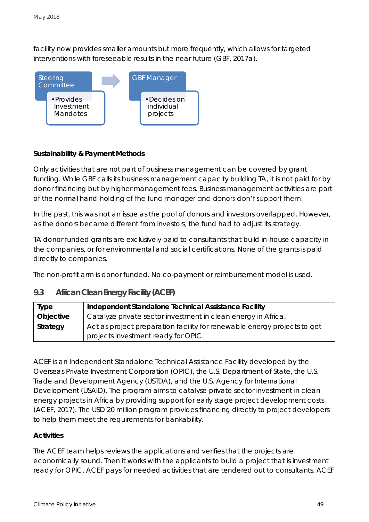facility now provides smaller amounts but more frequently, which allows for targeted interventions with foreseeable results in the near future (GBF, 2017a).



**Sustainability & Payment Methods**

Only activities that are not part of business management can be covered by grant funding. While GBF calls its business management capacity building TA, it is not paid for by donor financing but by higher management fees. Business management activities are part of the normal hand-holding of the fund manager and donors don't support them.

In the past, this was not an issue as the pool of donors and investors overlapped. However, as the donors became different from investors, the fund had to adjust its strategy.

TA donor funded grants are exclusively paid to consultants that build in-house capacity in the companies, or for environmental and social certifications. None of the grants is paid directly to companies.

The non-profit arm is donor funded. No co-payment or reimbursement model is used.

| Type      | Independent Standalone Technical Assistance Facility                     |
|-----------|--------------------------------------------------------------------------|
| Objective | Catalyze private sector investment in clean energy in Africa.            |
| Strategy  | Act as project preparation facility for renewable energy projects to get |
|           | projects investment ready for OPIC.                                      |

### <span id="page-48-0"></span>**9.3 African Clean Energy Facility (ACEF)**

ACEF is an Independent Standalone Technical Assistance Facility developed by the Overseas Private Investment Corporation (OPIC), the U.S. Department of State, the U.S. Trade and Development Agency (USTDA), and the U.S. Agency for International Development (USAID). The program aims to catalyse private sector investment in clean energy projects in Africa by providing support for early stage project development costs (ACEF, 2017). The USD 20 million program provides financing directly to project developers to help them meet the requirements for bankability.

### **Activities**

The ACEF team helps reviews the applications and verifies that the projects are economically sound. Then it works with the applicants to build a project that is investment ready for OPIC. ACEF pays for needed activities that are tendered out to consultants. ACEF